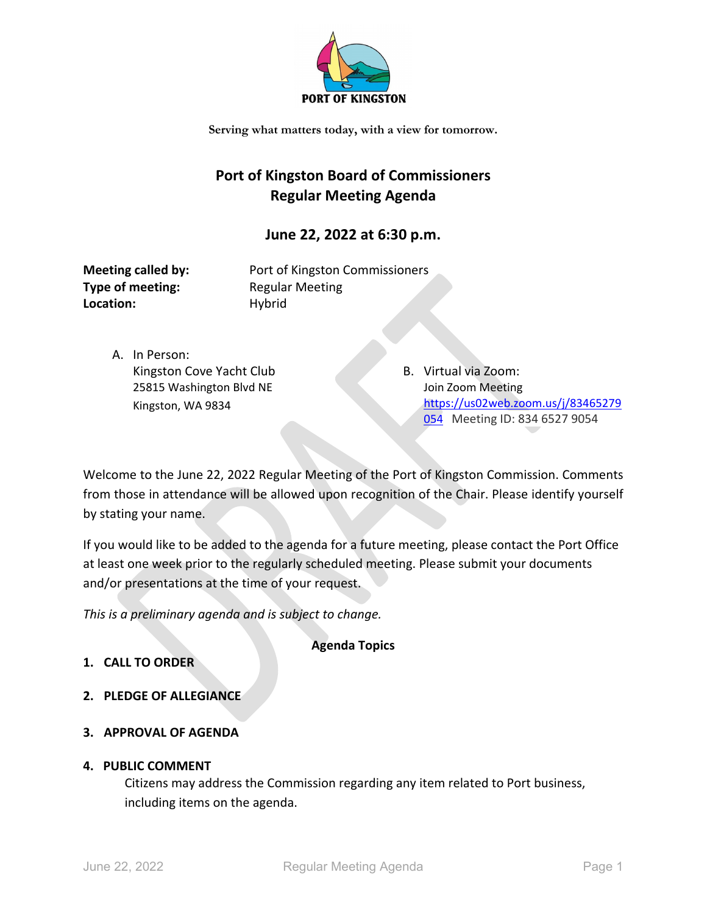

## **Port of Kingston Board of Commissioners Regular Meeting Agenda**

### **June 22, 2022 at 6:30 p.m.**

**Type of meeting:** Regular Meeting Location: Hybrid

**Meeting called by:** Port of Kingston Commissioners

A. In Person: Kingston Cove Yacht Club 25815 Washington Blvd NE Kingston, WA 9834

B. Virtual via Zoom: Join Zoom Meeting [https://us02web.zoom.us/j/83465279](https://us02web.zoom.us/j/83465279054) [054](https://us02web.zoom.us/j/83465279054) Meeting ID: 834 6527 9054

Welcome to the June 22, 2022 Regular Meeting of the Port of Kingston Commission. Comments from those in attendance will be allowed upon recognition of the Chair. Please identify yourself by stating your name.

If you would like to be added to the agenda for a future meeting, please contact the Port Office at least one week prior to the regularly scheduled meeting. Please submit your documents and/or presentations at the time of your request.

*This is a preliminary agenda and is subject to change.*

**Agenda Topics**

- **1. CALL TO ORDER**
- **2. PLEDGE OF ALLEGIANCE**
- **3. APPROVAL OF AGENDA**

#### **4. PUBLIC COMMENT**

Citizens may address the Commission regarding any item related to Port business, including items on the agenda.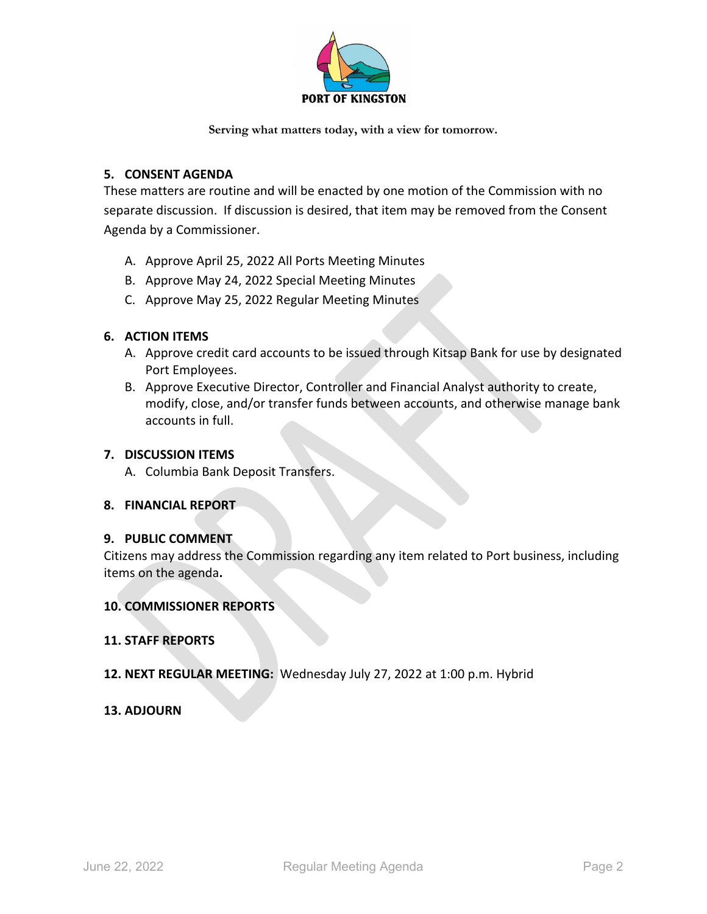

#### **5. CONSENT AGENDA**

These matters are routine and will be enacted by one motion of the Commission with no separate discussion. If discussion is desired, that item may be removed from the Consent Agenda by a Commissioner.

- A. Approve April 25, 2022 All Ports Meeting Minutes
- B. Approve May 24, 2022 Special Meeting Minutes
- C. Approve May 25, 2022 Regular Meeting Minutes

#### **6. ACTION ITEMS**

- A. Approve credit card accounts to be issued through Kitsap Bank for use by designated Port Employees.
- B. Approve Executive Director, Controller and Financial Analyst authority to create, modify, close, and/or transfer funds between accounts, and otherwise manage bank accounts in full.

#### **7. DISCUSSION ITEMS**

A. Columbia Bank Deposit Transfers.

#### **8. FINANCIAL REPORT**

#### **9. PUBLIC COMMENT**

Citizens may address the Commission regarding any item related to Port business, including items on the agenda**.**

#### **10. COMMISSIONER REPORTS**

#### **11. STAFF REPORTS**

#### **12. NEXT REGULAR MEETING:** Wednesday July 27, 2022 at 1:00 p.m. Hybrid

#### **13. ADJOURN**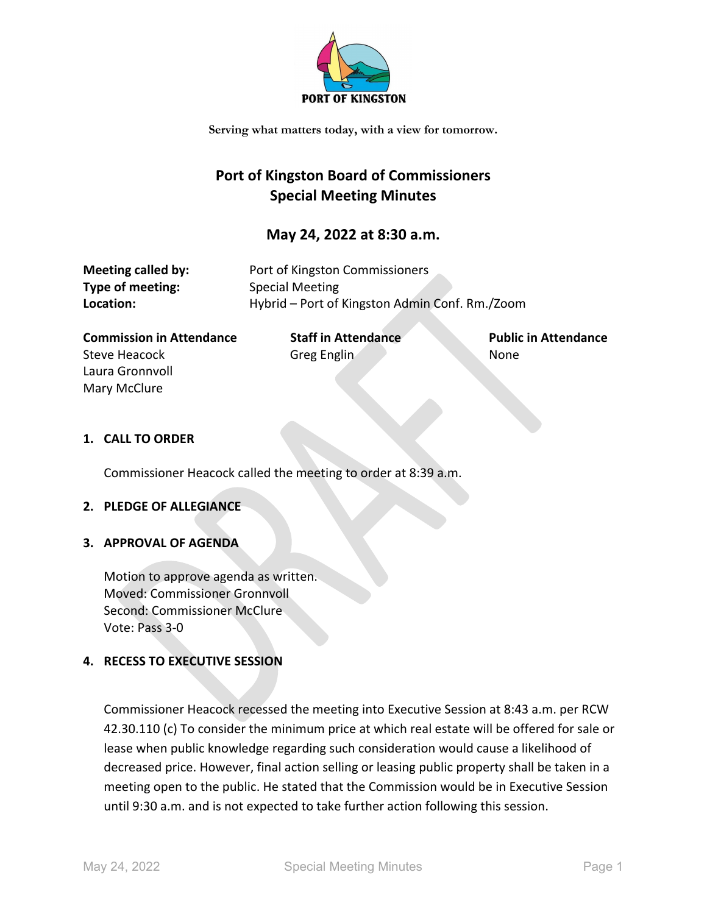

## **Port of Kingston Board of Commissioners Special Meeting Minutes**

#### **May 24, 2022 at 8:30 a.m.**

| Meeting called by: | Port of Kingston Commissioners                 |
|--------------------|------------------------------------------------|
| Type of meeting:   | Special Meeting                                |
| Location:          | Hybrid – Port of Kingston Admin Conf. Rm./Zoom |

**Commission in Attendance Staff in Attendance Public in Attendance** Steve Heacock Greg Englin Controller None Laura Gronnvoll Mary McClure

#### **1. CALL TO ORDER**

Commissioner Heacock called the meeting to order at 8:39 a.m.

#### **2. PLEDGE OF ALLEGIANCE**

#### **3. APPROVAL OF AGENDA**

Motion to approve agenda as written. Moved: Commissioner Gronnvoll Second: Commissioner McClure Vote: Pass 3-0

#### **4. RECESS TO EXECUTIVE SESSION**

Commissioner Heacock recessed the meeting into Executive Session at 8:43 a.m. per RCW 42.30.110 (c) To consider the minimum price at which real estate will be offered for sale or lease when public knowledge regarding such consideration would cause a likelihood of decreased price. However, final action selling or leasing public property shall be taken in a meeting open to the public. He stated that the Commission would be in Executive Session until 9:30 a.m. and is not expected to take further action following this session.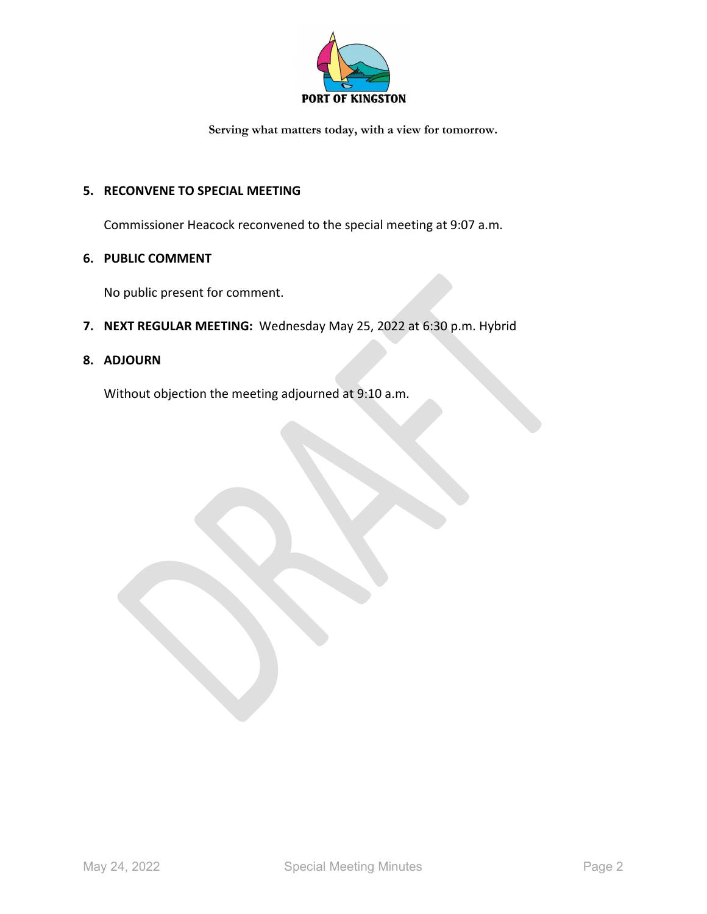

#### **5. RECONVENE TO SPECIAL MEETING**

Commissioner Heacock reconvened to the special meeting at 9:07 a.m.

#### **6. PUBLIC COMMENT**

No public present for comment.

**7. NEXT REGULAR MEETING:** Wednesday May 25, 2022 at 6:30 p.m. Hybrid

#### **8. ADJOURN**

Without objection the meeting adjourned at 9:10 a.m.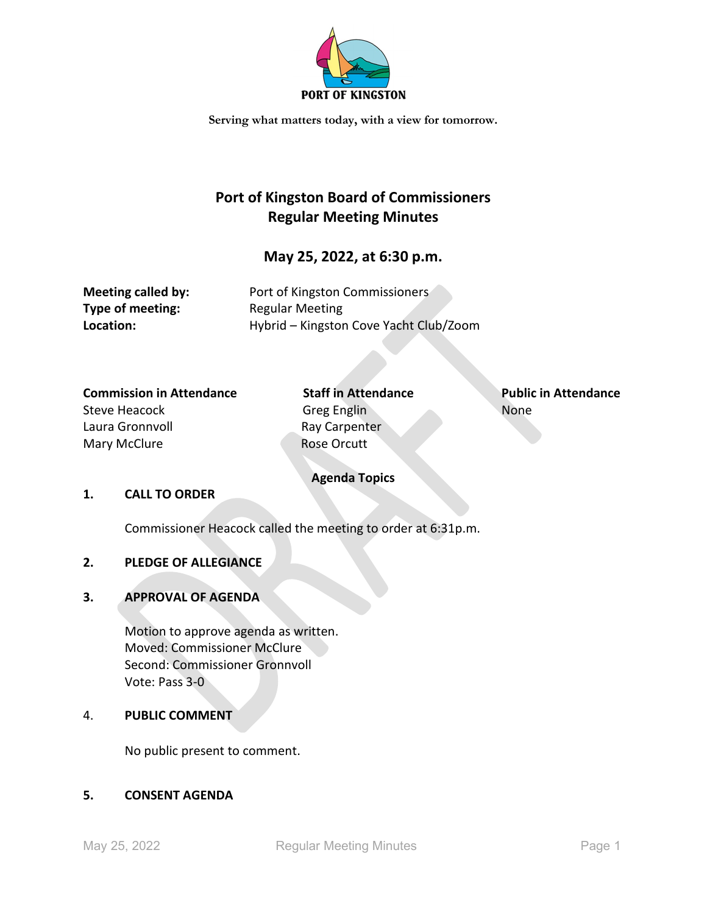

## **Port of Kingston Board of Commissioners Regular Meeting Minutes**

#### **May 25, 2022, at 6:30 p.m.**

**Type of meeting:** Regular Meeting

**Meeting called by:** Port of Kingston Commissioners **Location:** Hybrid – Kingston Cove Yacht Club/Zoom

## **Commission in Attendance Staff in Attendance Public in Attendance**

Laura Gronnvoll **Ray Carpenter** Mary McClure **Rose Orcutt** 

# Steve Heacock Greg Englin Greg English None

#### **Agenda Topics**

#### **1. CALL TO ORDER**

Commissioner Heacock called the meeting to order at 6:31p.m.

#### **2. PLEDGE OF ALLEGIANCE**

#### **3. APPROVAL OF AGENDA**

Motion to approve agenda as written. Moved: Commissioner McClure Second: Commissioner Gronnvoll Vote: Pass 3-0

#### 4. **PUBLIC COMMENT**

No public present to comment.

#### **5. CONSENT AGENDA**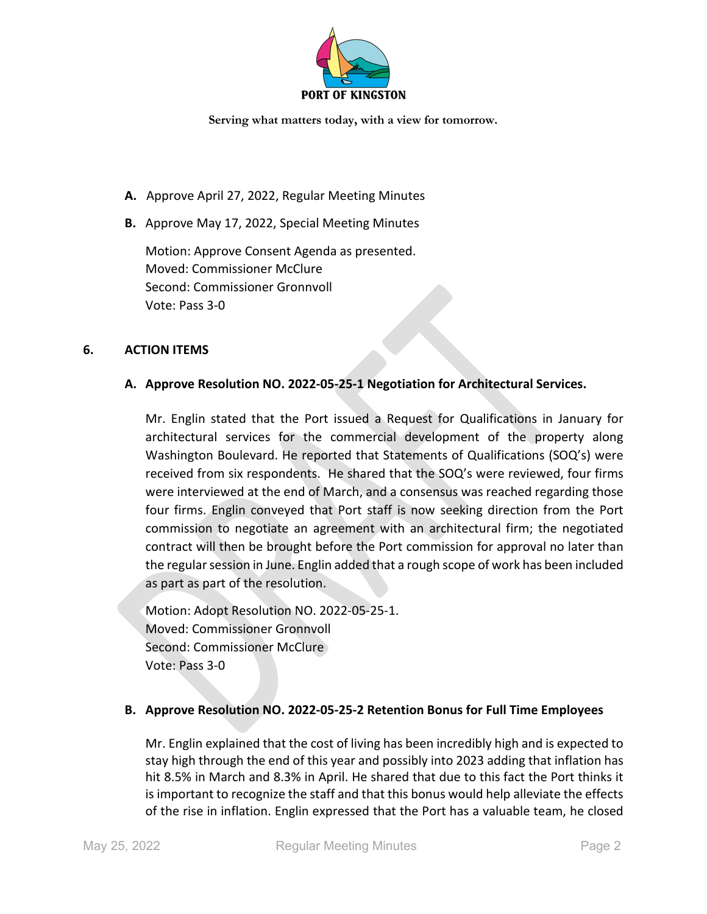

- **A.** Approve April 27, 2022, Regular Meeting Minutes
- **B.** Approve May 17, 2022, Special Meeting Minutes

Motion: Approve Consent Agenda as presented. Moved: Commissioner McClure Second: Commissioner Gronnvoll Vote: Pass 3-0

#### **6. ACTION ITEMS**

#### **A. Approve Resolution NO. 2022-05-25-1 Negotiation for Architectural Services.**

Mr. Englin stated that the Port issued a Request for Qualifications in January for architectural services for the commercial development of the property along Washington Boulevard. He reported that Statements of Qualifications (SOQ's) were received from six respondents. He shared that the SOQ's were reviewed, four firms were interviewed at the end of March, and a consensus was reached regarding those four firms. Englin conveyed that Port staff is now seeking direction from the Port commission to negotiate an agreement with an architectural firm; the negotiated contract will then be brought before the Port commission for approval no later than the regular session in June. Englin added that a rough scope of work has been included as part as part of the resolution.

Motion: Adopt Resolution NO. 2022-05-25-1. Moved: Commissioner Gronnvoll Second: Commissioner McClure Vote: Pass 3-0

#### **B. Approve Resolution NO. 2022-05-25-2 Retention Bonus for Full Time Employees**

Mr. Englin explained that the cost of living has been incredibly high and is expected to stay high through the end of this year and possibly into 2023 adding that inflation has hit 8.5% in March and 8.3% in April. He shared that due to this fact the Port thinks it is important to recognize the staff and that this bonus would help alleviate the effects of the rise in inflation. Englin expressed that the Port has a valuable team, he closed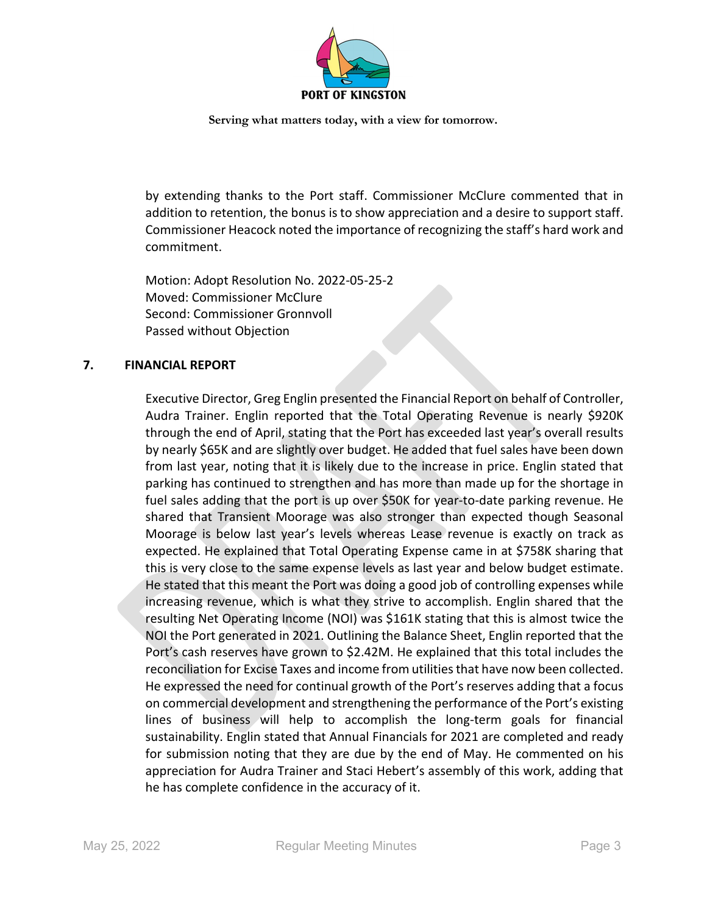

by extending thanks to the Port staff. Commissioner McClure commented that in addition to retention, the bonus is to show appreciation and a desire to support staff. Commissioner Heacock noted the importance of recognizing the staff's hard work and commitment.

Motion: Adopt Resolution No. 2022-05-25-2 Moved: Commissioner McClure Second: Commissioner Gronnvoll Passed without Objection

#### **7. FINANCIAL REPORT**

Executive Director, Greg Englin presented the Financial Report on behalf of Controller, Audra Trainer. Englin reported that the Total Operating Revenue is nearly \$920K through the end of April, stating that the Port has exceeded last year's overall results by nearly \$65K and are slightly over budget. He added that fuel sales have been down from last year, noting that it is likely due to the increase in price. Englin stated that parking has continued to strengthen and has more than made up for the shortage in fuel sales adding that the port is up over \$50K for year-to-date parking revenue. He shared that Transient Moorage was also stronger than expected though Seasonal Moorage is below last year's levels whereas Lease revenue is exactly on track as expected. He explained that Total Operating Expense came in at \$758K sharing that this is very close to the same expense levels as last year and below budget estimate. He stated that this meant the Port was doing a good job of controlling expenses while increasing revenue, which is what they strive to accomplish. Englin shared that the resulting Net Operating Income (NOI) was \$161K stating that this is almost twice the NOI the Port generated in 2021. Outlining the Balance Sheet, Englin reported that the Port's cash reserves have grown to \$2.42M. He explained that this total includes the reconciliation for Excise Taxes and income from utilities that have now been collected. He expressed the need for continual growth of the Port's reserves adding that a focus on commercial development and strengthening the performance of the Port's existing lines of business will help to accomplish the long-term goals for financial sustainability. Englin stated that Annual Financials for 2021 are completed and ready for submission noting that they are due by the end of May. He commented on his appreciation for Audra Trainer and Staci Hebert's assembly of this work, adding that he has complete confidence in the accuracy of it.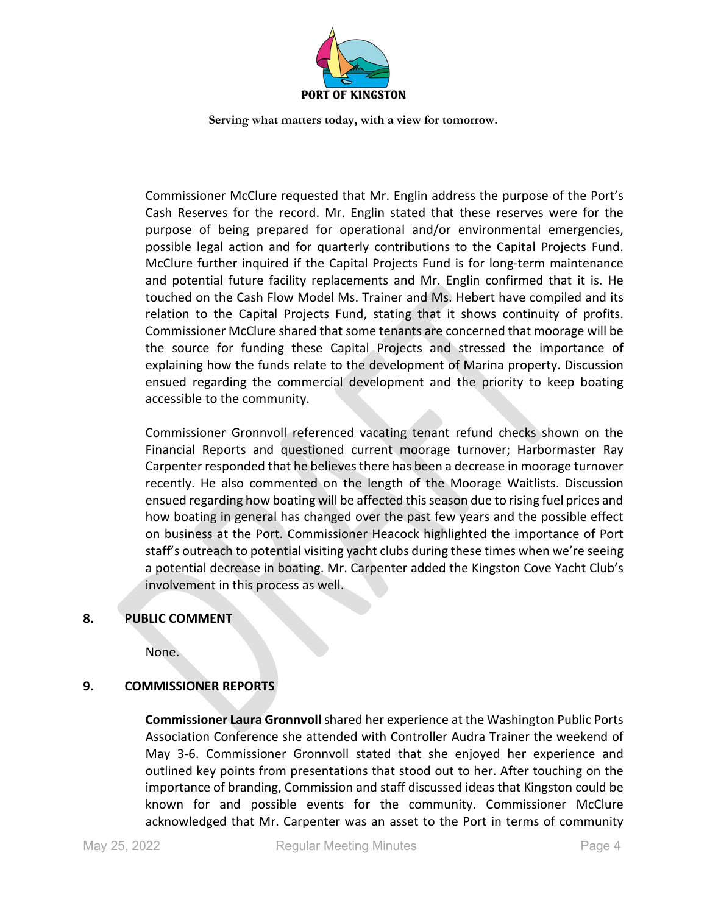

Commissioner McClure requested that Mr. Englin address the purpose of the Port's Cash Reserves for the record. Mr. Englin stated that these reserves were for the purpose of being prepared for operational and/or environmental emergencies, possible legal action and for quarterly contributions to the Capital Projects Fund. McClure further inquired if the Capital Projects Fund is for long-term maintenance and potential future facility replacements and Mr. Englin confirmed that it is. He touched on the Cash Flow Model Ms. Trainer and Ms. Hebert have compiled and its relation to the Capital Projects Fund, stating that it shows continuity of profits. Commissioner McClure shared that some tenants are concerned that moorage will be the source for funding these Capital Projects and stressed the importance of explaining how the funds relate to the development of Marina property. Discussion ensued regarding the commercial development and the priority to keep boating accessible to the community.

Commissioner Gronnvoll referenced vacating tenant refund checks shown on the Financial Reports and questioned current moorage turnover; Harbormaster Ray Carpenter responded that he believes there has been a decrease in moorage turnover recently. He also commented on the length of the Moorage Waitlists. Discussion ensued regarding how boating will be affected this season due to rising fuel prices and how boating in general has changed over the past few years and the possible effect on business at the Port. Commissioner Heacock highlighted the importance of Port staff's outreach to potential visiting yacht clubs during these times when we're seeing a potential decrease in boating. Mr. Carpenter added the Kingston Cove Yacht Club's involvement in this process as well.

#### **8. PUBLIC COMMENT**

None.

#### **9. COMMISSIONER REPORTS**

**Commissioner Laura Gronnvoll** shared her experience at the Washington Public Ports Association Conference she attended with Controller Audra Trainer the weekend of May 3-6. Commissioner Gronnvoll stated that she enjoyed her experience and outlined key points from presentations that stood out to her. After touching on the importance of branding, Commission and staff discussed ideas that Kingston could be known for and possible events for the community. Commissioner McClure acknowledged that Mr. Carpenter was an asset to the Port in terms of community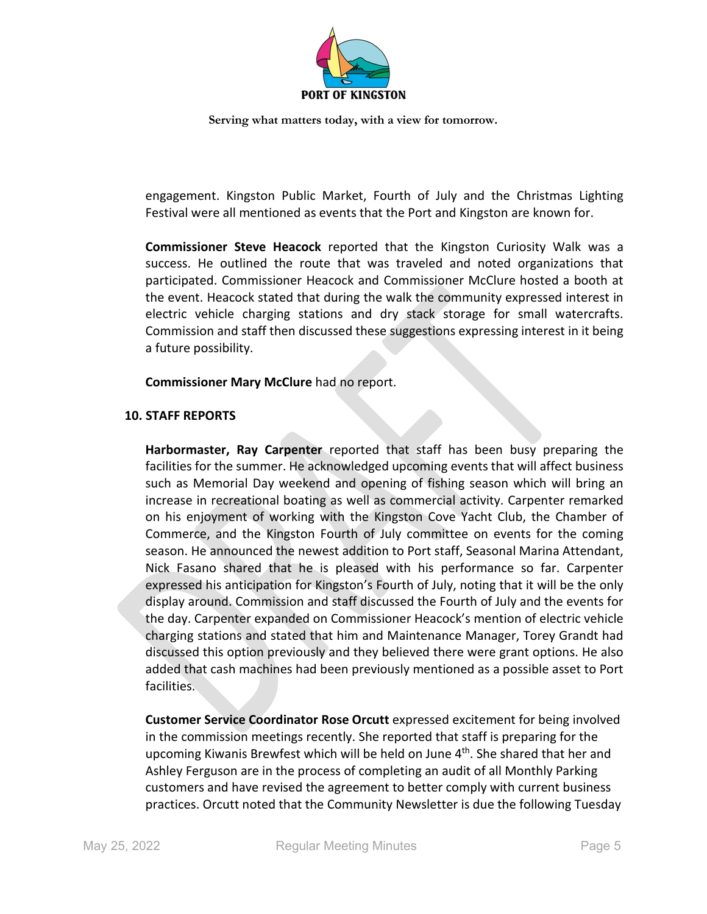

engagement. Kingston Public Market, Fourth of July and the Christmas Lighting Festival were all mentioned as events that the Port and Kingston are known for.

**Commissioner Steve Heacock** reported that the Kingston Curiosity Walk was a success. He outlined the route that was traveled and noted organizations that participated. Commissioner Heacock and Commissioner McClure hosted a booth at the event. Heacock stated that during the walk the community expressed interest in electric vehicle charging stations and dry stack storage for small watercrafts. Commission and staff then discussed these suggestions expressing interest in it being a future possibility.

**Commissioner Mary McClure** had no report.

#### **10. STAFF REPORTS**

**Harbormaster, Ray Carpenter** reported that staff has been busy preparing the facilities for the summer. He acknowledged upcoming events that will affect business such as Memorial Day weekend and opening of fishing season which will bring an increase in recreational boating as well as commercial activity. Carpenter remarked on his enjoyment of working with the Kingston Cove Yacht Club, the Chamber of Commerce, and the Kingston Fourth of July committee on events for the coming season. He announced the newest addition to Port staff, Seasonal Marina Attendant, Nick Fasano shared that he is pleased with his performance so far. Carpenter expressed his anticipation for Kingston's Fourth of July, noting that it will be the only display around. Commission and staff discussed the Fourth of July and the events for the day. Carpenter expanded on Commissioner Heacock's mention of electric vehicle charging stations and stated that him and Maintenance Manager, Torey Grandt had discussed this option previously and they believed there were grant options. He also added that cash machines had been previously mentioned as a possible asset to Port facilities.

**Customer Service Coordinator Rose Orcutt** expressed excitement for being involved in the commission meetings recently. She reported that staff is preparing for the upcoming Kiwanis Brewfest which will be held on June 4<sup>th</sup>. She shared that her and Ashley Ferguson are in the process of completing an audit of all Monthly Parking customers and have revised the agreement to better comply with current business practices. Orcutt noted that the Community Newsletter is due the following Tuesday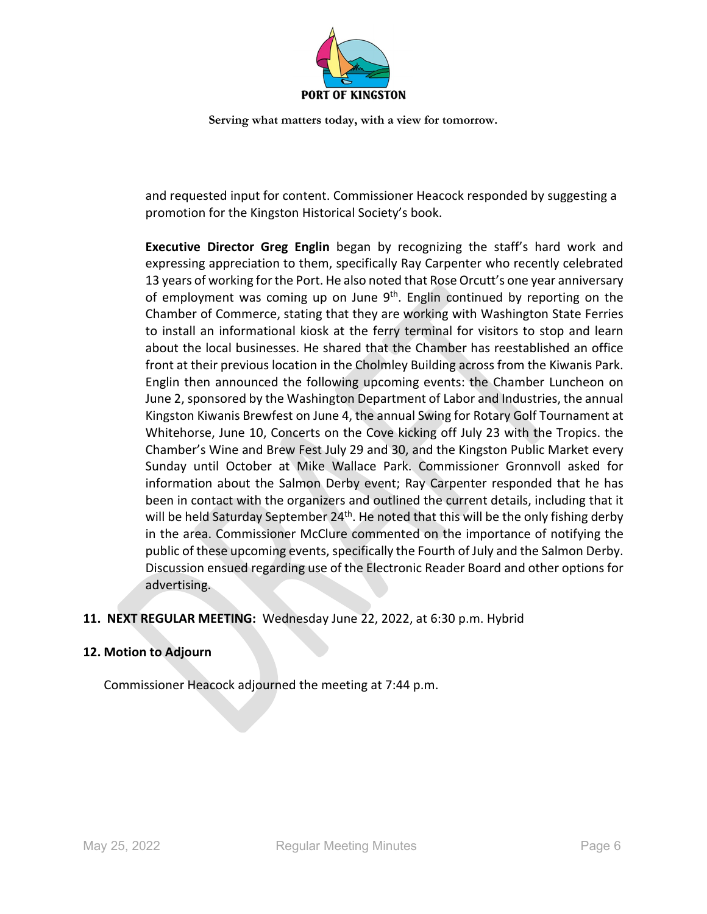

and requested input for content. Commissioner Heacock responded by suggesting a promotion for the Kingston Historical Society's book.

**Executive Director Greg Englin** began by recognizing the staff's hard work and expressing appreciation to them, specifically Ray Carpenter who recently celebrated 13 years of working for the Port. He also noted that Rose Orcutt's one year anniversary of employment was coming up on June  $9<sup>th</sup>$ . Englin continued by reporting on the Chamber of Commerce, stating that they are working with Washington State Ferries to install an informational kiosk at the ferry terminal for visitors to stop and learn about the local businesses. He shared that the Chamber has reestablished an office front at their previous location in the Cholmley Building across from the Kiwanis Park. Englin then announced the following upcoming events: the Chamber Luncheon on June 2, sponsored by the Washington Department of Labor and Industries, the annual Kingston Kiwanis Brewfest on June 4, the annual Swing for Rotary Golf Tournament at Whitehorse, June 10, Concerts on the Cove kicking off July 23 with the Tropics. the Chamber's Wine and Brew Fest July 29 and 30, and the Kingston Public Market every Sunday until October at Mike Wallace Park. Commissioner Gronnvoll asked for information about the Salmon Derby event; Ray Carpenter responded that he has been in contact with the organizers and outlined the current details, including that it will be held Saturday September 24<sup>th</sup>. He noted that this will be the only fishing derby in the area. Commissioner McClure commented on the importance of notifying the public of these upcoming events, specifically the Fourth of July and the Salmon Derby. Discussion ensued regarding use of the Electronic Reader Board and other options for advertising.

#### **11. NEXT REGULAR MEETING:** Wednesday June 22, 2022, at 6:30 p.m. Hybrid

#### **12. Motion to Adjourn**

Commissioner Heacock adjourned the meeting at 7:44 p.m.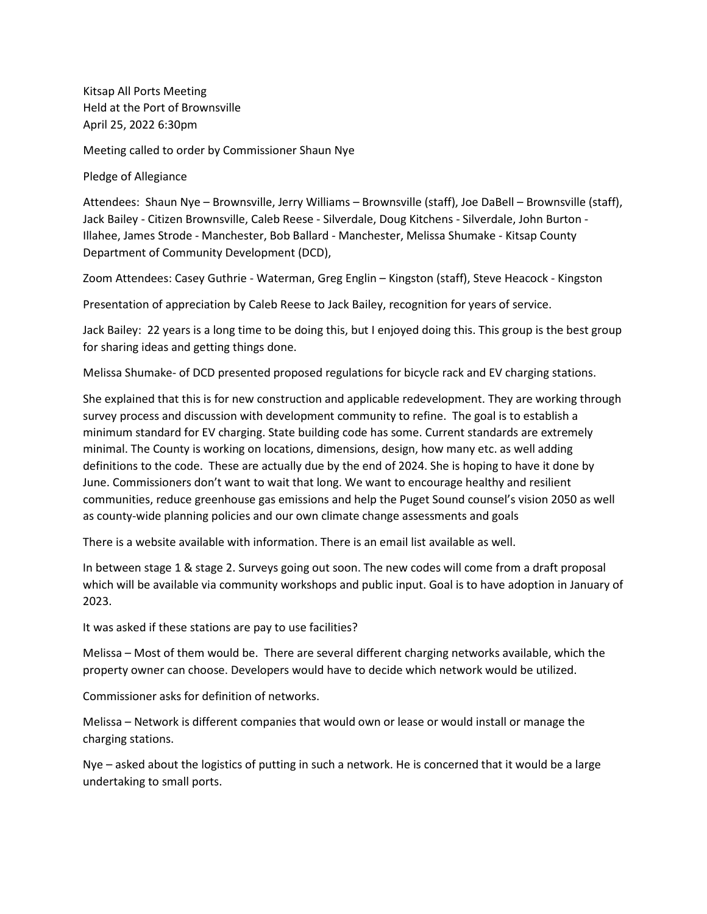Kitsap All Ports Meeting Held at the Port of Brownsville April 25, 2022 6:30pm

Meeting called to order by Commissioner Shaun Nye

Pledge of Allegiance

Attendees: Shaun Nye – Brownsville, Jerry Williams – Brownsville (staff), Joe DaBell – Brownsville (staff), Jack Bailey - Citizen Brownsville, Caleb Reese - Silverdale, Doug Kitchens - Silverdale, John Burton - Illahee, James Strode - Manchester, Bob Ballard - Manchester, Melissa Shumake - Kitsap County Department of Community Development (DCD),

Zoom Attendees: Casey Guthrie - Waterman, Greg Englin – Kingston (staff), Steve Heacock - Kingston

Presentation of appreciation by Caleb Reese to Jack Bailey, recognition for years of service.

Jack Bailey: 22 years is a long time to be doing this, but I enjoyed doing this. This group is the best group for sharing ideas and getting things done.

Melissa Shumake- of DCD presented proposed regulations for bicycle rack and EV charging stations.

She explained that this is for new construction and applicable redevelopment. They are working through survey process and discussion with development community to refine. The goal is to establish a minimum standard for EV charging. State building code has some. Current standards are extremely minimal. The County is working on locations, dimensions, design, how many etc. as well adding definitions to the code. These are actually due by the end of 2024. She is hoping to have it done by June. Commissioners don't want to wait that long. We want to encourage healthy and resilient communities, reduce greenhouse gas emissions and help the Puget Sound counsel's vision 2050 as well as county-wide planning policies and our own climate change assessments and goals

There is a website available with information. There is an email list available as well.

In between stage 1 & stage 2. Surveys going out soon. The new codes will come from a draft proposal which will be available via community workshops and public input. Goal is to have adoption in January of 2023.

It was asked if these stations are pay to use facilities?

Melissa – Most of them would be. There are several different charging networks available, which the property owner can choose. Developers would have to decide which network would be utilized.

Commissioner asks for definition of networks.

Melissa – Network is different companies that would own or lease or would install or manage the charging stations.

Nye – asked about the logistics of putting in such a network. He is concerned that it would be a large undertaking to small ports.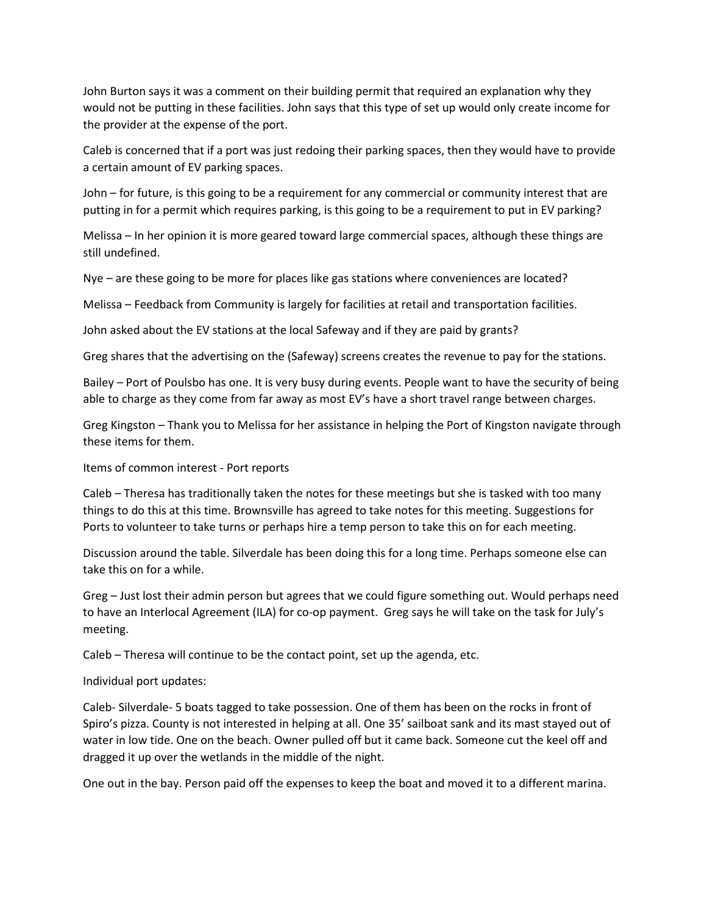John Burton says it was a comment on their building permit that required an explanation why they would not be putting in these facilities. John says that this type of set up would only create income for the provider at the expense of the port.

Caleb is concerned that if a port was just redoing their parking spaces, then they would have to provide a certain amount of EV parking spaces.

John – for future, is this going to be a requirement for any commercial or community interest that are putting in for a permit which requires parking, is this going to be a requirement to put in EV parking?

Melissa – In her opinion it is more geared toward large commercial spaces, although these things are still undefined.

Nye – are these going to be more for places like gas stations where conveniences are located?

Melissa – Feedback from Community is largely for facilities at retail and transportation facilities.

John asked about the EV stations at the local Safeway and if they are paid by grants?

Greg shares that the advertising on the (Safeway) screens creates the revenue to pay for the stations.

Bailey – Port of Poulsbo has one. It is very busy during events. People want to have the security of being able to charge as they come from far away as most EV's have a short travel range between charges.

Greg Kingston – Thank you to Melissa for her assistance in helping the Port of Kingston navigate through these items for them.

Items of common interest - Port reports

Caleb – Theresa has traditionally taken the notes for these meetings but she is tasked with too many things to do this at this time. Brownsville has agreed to take notes for this meeting. Suggestions for Ports to volunteer to take turns or perhaps hire a temp person to take this on for each meeting.

Discussion around the table. Silverdale has been doing this for a long time. Perhaps someone else can take this on for a while.

Greg – Just lost their admin person but agrees that we could figure something out. Would perhaps need to have an Interlocal Agreement (ILA) for co-op payment. Greg says he will take on the task for July's meeting.

Caleb – Theresa will continue to be the contact point, set up the agenda, etc.

Individual port updates:

Caleb- Silverdale- 5 boats tagged to take possession. One of them has been on the rocks in front of Spiro's pizza. County is not interested in helping at all. One 35' sailboat sank and its mast stayed out of water in low tide. One on the beach. Owner pulled off but it came back. Someone cut the keel off and dragged it up over the wetlands in the middle of the night.

One out in the bay. Person paid off the expenses to keep the boat and moved it to a different marina.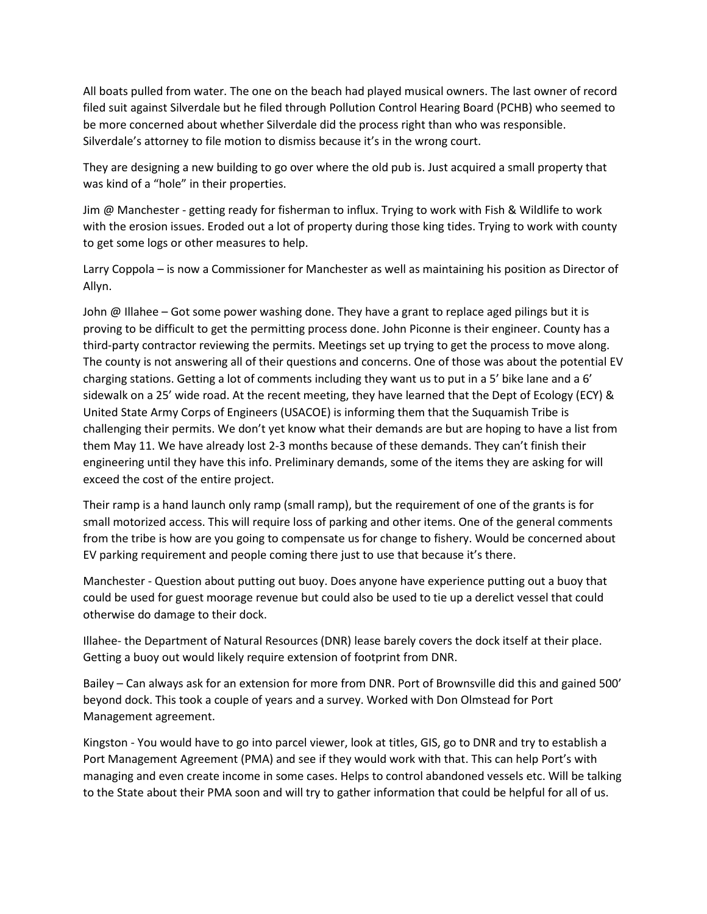All boats pulled from water. The one on the beach had played musical owners. The last owner of record filed suit against Silverdale but he filed through Pollution Control Hearing Board (PCHB) who seemed to be more concerned about whether Silverdale did the process right than who was responsible. Silverdale's attorney to file motion to dismiss because it's in the wrong court.

They are designing a new building to go over where the old pub is. Just acquired a small property that was kind of a "hole" in their properties.

Jim @ Manchester - getting ready for fisherman to influx. Trying to work with Fish & Wildlife to work with the erosion issues. Eroded out a lot of property during those king tides. Trying to work with county to get some logs or other measures to help.

Larry Coppola – is now a Commissioner for Manchester as well as maintaining his position as Director of Allyn.

John  $\omega$  Illahee – Got some power washing done. They have a grant to replace aged pilings but it is proving to be difficult to get the permitting process done. John Piconne is their engineer. County has a third-party contractor reviewing the permits. Meetings set up trying to get the process to move along. The county is not answering all of their questions and concerns. One of those was about the potential EV charging stations. Getting a lot of comments including they want us to put in a 5' bike lane and a 6' sidewalk on a 25' wide road. At the recent meeting, they have learned that the Dept of Ecology (ECY) & United State Army Corps of Engineers (USACOE) is informing them that the Suquamish Tribe is challenging their permits. We don't yet know what their demands are but are hoping to have a list from them May 11. We have already lost 2-3 months because of these demands. They can't finish their engineering until they have this info. Preliminary demands, some of the items they are asking for will exceed the cost of the entire project.

Their ramp is a hand launch only ramp (small ramp), but the requirement of one of the grants is for small motorized access. This will require loss of parking and other items. One of the general comments from the tribe is how are you going to compensate us for change to fishery. Would be concerned about EV parking requirement and people coming there just to use that because it's there.

Manchester - Question about putting out buoy. Does anyone have experience putting out a buoy that could be used for guest moorage revenue but could also be used to tie up a derelict vessel that could otherwise do damage to their dock.

Illahee- the Department of Natural Resources (DNR) lease barely covers the dock itself at their place. Getting a buoy out would likely require extension of footprint from DNR.

Bailey – Can always ask for an extension for more from DNR. Port of Brownsville did this and gained 500' beyond dock. This took a couple of years and a survey. Worked with Don Olmstead for Port Management agreement.

Kingston - You would have to go into parcel viewer, look at titles, GIS, go to DNR and try to establish a Port Management Agreement (PMA) and see if they would work with that. This can help Port's with managing and even create income in some cases. Helps to control abandoned vessels etc. Will be talking to the State about their PMA soon and will try to gather information that could be helpful for all of us.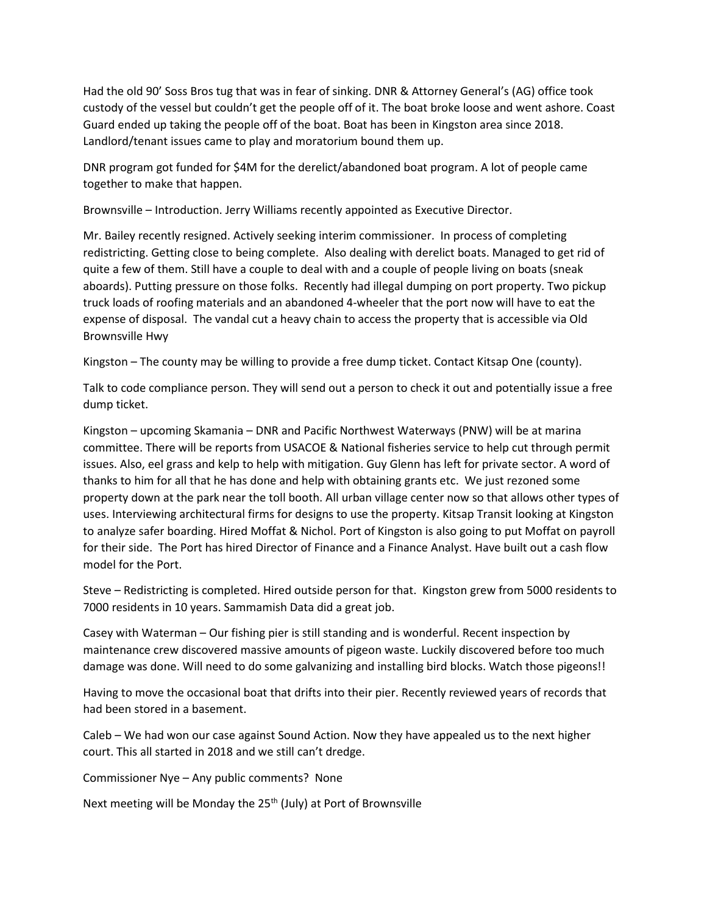Had the old 90' Soss Bros tug that was in fear of sinking. DNR & Attorney General's (AG) office took custody of the vessel but couldn't get the people off of it. The boat broke loose and went ashore. Coast Guard ended up taking the people off of the boat. Boat has been in Kingston area since 2018. Landlord/tenant issues came to play and moratorium bound them up.

DNR program got funded for \$4M for the derelict/abandoned boat program. A lot of people came together to make that happen.

Brownsville – Introduction. Jerry Williams recently appointed as Executive Director.

Mr. Bailey recently resigned. Actively seeking interim commissioner. In process of completing redistricting. Getting close to being complete. Also dealing with derelict boats. Managed to get rid of quite a few of them. Still have a couple to deal with and a couple of people living on boats (sneak aboards). Putting pressure on those folks. Recently had illegal dumping on port property. Two pickup truck loads of roofing materials and an abandoned 4-wheeler that the port now will have to eat the expense of disposal. The vandal cut a heavy chain to access the property that is accessible via Old Brownsville Hwy

Kingston – The county may be willing to provide a free dump ticket. Contact Kitsap One (county).

Talk to code compliance person. They will send out a person to check it out and potentially issue a free dump ticket.

Kingston – upcoming Skamania – DNR and Pacific Northwest Waterways (PNW) will be at marina committee. There will be reports from USACOE & National fisheries service to help cut through permit issues. Also, eel grass and kelp to help with mitigation. Guy Glenn has left for private sector. A word of thanks to him for all that he has done and help with obtaining grants etc. We just rezoned some property down at the park near the toll booth. All urban village center now so that allows other types of uses. Interviewing architectural firms for designs to use the property. Kitsap Transit looking at Kingston to analyze safer boarding. Hired Moffat & Nichol. Port of Kingston is also going to put Moffat on payroll for their side. The Port has hired Director of Finance and a Finance Analyst. Have built out a cash flow model for the Port.

Steve – Redistricting is completed. Hired outside person for that. Kingston grew from 5000 residents to 7000 residents in 10 years. Sammamish Data did a great job.

Casey with Waterman – Our fishing pier is still standing and is wonderful. Recent inspection by maintenance crew discovered massive amounts of pigeon waste. Luckily discovered before too much damage was done. Will need to do some galvanizing and installing bird blocks. Watch those pigeons!!

Having to move the occasional boat that drifts into their pier. Recently reviewed years of records that had been stored in a basement.

Caleb – We had won our case against Sound Action. Now they have appealed us to the next higher court. This all started in 2018 and we still can't dredge.

Commissioner Nye – Any public comments? None

Next meeting will be Monday the  $25<sup>th</sup>$  (July) at Port of Brownsville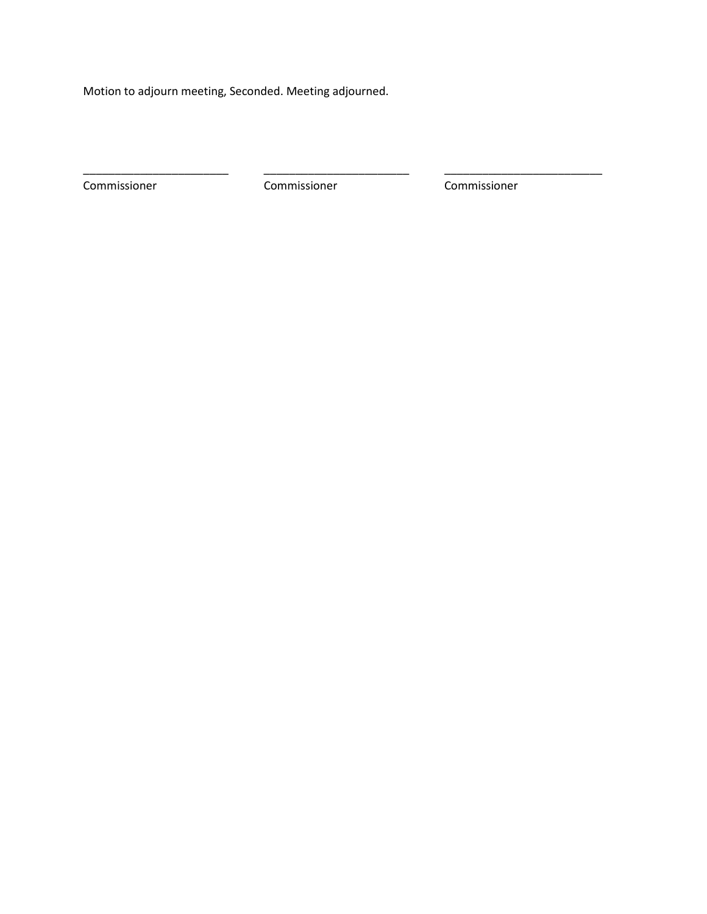Motion to adjourn meeting, Seconded. Meeting adjourned.

Commissioner Commissioner Commissioner

\_\_\_\_\_\_\_\_\_\_\_\_\_\_\_\_\_\_\_\_\_\_\_ \_\_\_\_\_\_\_\_\_\_\_\_\_\_\_\_\_\_\_\_\_\_\_ \_\_\_\_\_\_\_\_\_\_\_\_\_\_\_\_\_\_\_\_\_\_\_\_\_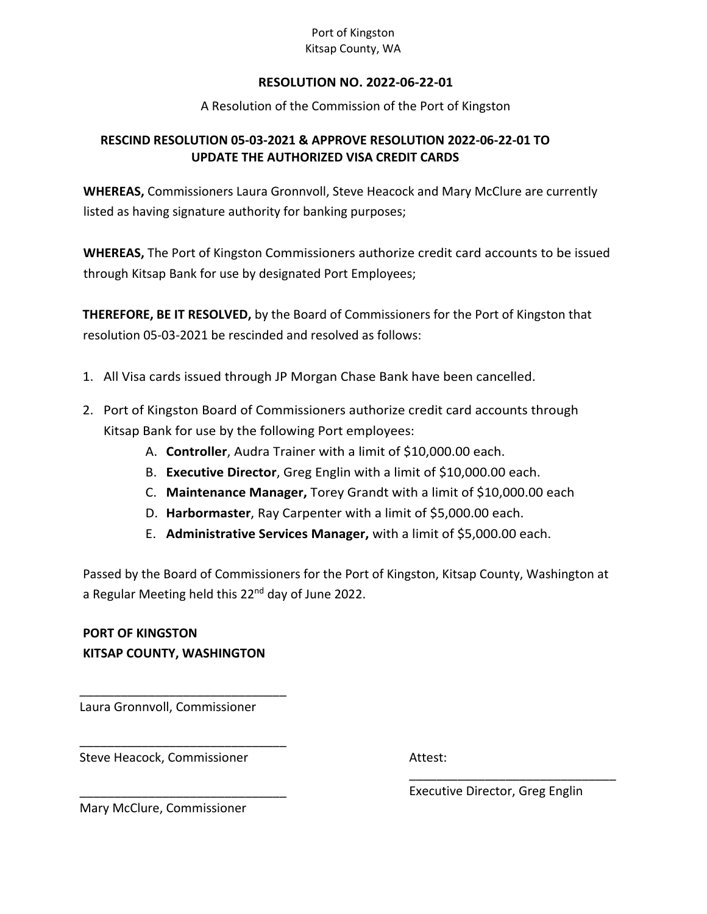#### Port of Kingston Kitsap County, WA

#### **RESOLUTION NO. 2022-06-22-01**

A Resolution of the Commission of the Port of Kingston

#### **RESCIND RESOLUTION 05-03-2021 & APPROVE RESOLUTION 2022-06-22-01 TO UPDATE THE AUTHORIZED VISA CREDIT CARDS**

**WHEREAS,** Commissioners Laura Gronnvoll, Steve Heacock and Mary McClure are currently listed as having signature authority for banking purposes;

**WHEREAS,** The Port of Kingston Commissioners authorize credit card accounts to be issued through Kitsap Bank for use by designated Port Employees;

**THEREFORE, BE IT RESOLVED,** by the Board of Commissioners for the Port of Kingston that resolution 05-03-2021 be rescinded and resolved as follows:

- 1. All Visa cards issued through JP Morgan Chase Bank have been cancelled.
- 2. Port of Kingston Board of Commissioners authorize credit card accounts through Kitsap Bank for use by the following Port employees:
	- A. **Controller**, Audra Trainer with a limit of \$10,000.00 each.
	- B. **Executive Director**, Greg Englin with a limit of \$10,000.00 each.
	- C. **Maintenance Manager,** Torey Grandt with a limit of \$10,000.00 each
	- D. **Harbormaster**, Ray Carpenter with a limit of \$5,000.00 each.
	- E. **Administrative Services Manager,** with a limit of \$5,000.00 each.

Passed by the Board of Commissioners for the Port of Kingston, Kitsap County, Washington at a Regular Meeting held this 22<sup>nd</sup> day of June 2022.

**PORT OF KINGSTON KITSAP COUNTY, WASHINGTON**

Laura Gronnvoll, Commissioner

\_\_\_\_\_\_\_\_\_\_\_\_\_\_\_\_\_\_\_\_\_\_\_\_\_\_\_\_\_\_

\_\_\_\_\_\_\_\_\_\_\_\_\_\_\_\_\_\_\_\_\_\_\_\_\_\_\_\_\_\_

\_\_\_\_\_\_\_\_\_\_\_\_\_\_\_\_\_\_\_\_\_\_\_\_\_\_\_\_\_\_

Steve Heacock, Commissioner

Attest:

Executive Director, Greg Englin

\_\_\_\_\_\_\_\_\_\_\_\_\_\_\_\_\_\_\_\_\_\_\_\_\_\_\_\_\_\_

Mary McClure, Commissioner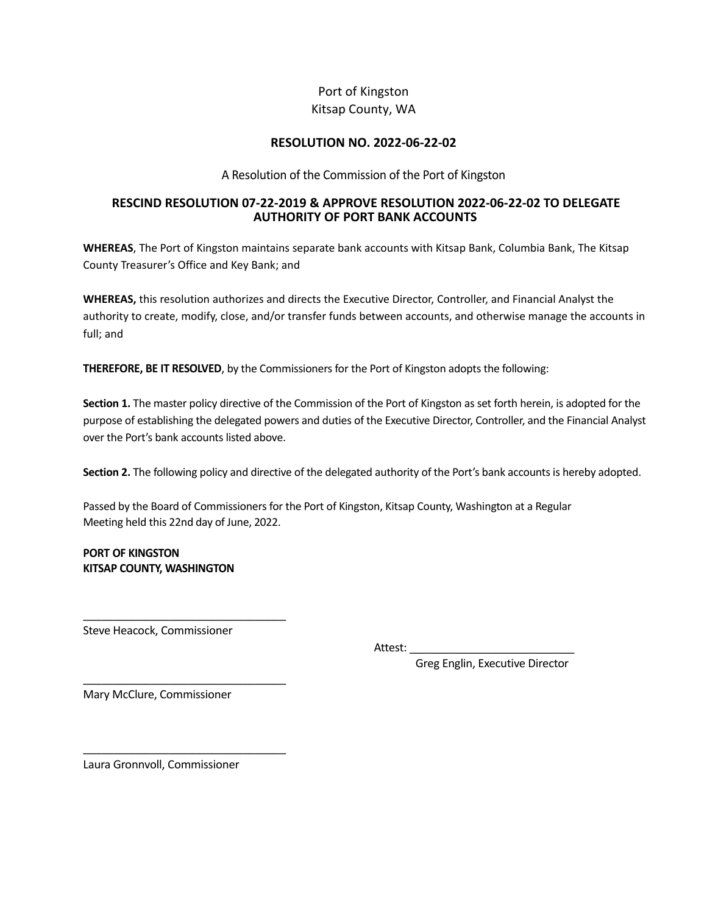#### Port of Kingston Kitsap County, WA

#### **RESOLUTION NO. 2022-06-22-02**

A Resolution of the Commission of the Port of Kingston

#### **RESCIND RESOLUTION 07-22-2019 & APPROVE RESOLUTION 2022-06-22-02 TO DELEGATE AUTHORITY OF PORT BANK ACCOUNTS**

**WHEREAS**, The Port of Kingston maintains separate bank accounts with Kitsap Bank, Columbia Bank, The Kitsap County Treasurer's Office and Key Bank; and

**WHEREAS,** this resolution authorizes and directs the Executive Director, Controller, and Financial Analyst the authority to create, modify, close, and/or transfer funds between accounts, and otherwise manage the accounts in full; and

**THEREFORE, BE IT RESOLVED**, by the Commissioners for the Port of Kingston adopts the following:

**Section 1.** The master policy directive of the Commission of the Port of Kingston as set forth herein, is adopted for the purpose of establishing the delegated powers and duties of the Executive Director, Controller, and the Financial Analyst over the Port's bank accounts listed above.

**Section 2.** The following policy and directive of the delegated authority of the Port's bank accounts is hereby adopted.

Passed by the Board of Commissioners for the Port of Kingston, Kitsap County, Washington at a Regular Meeting held this 22nd day of June, 2022.

**PORT OF KINGSTON KITSAP COUNTY, WASHINGTON**

Steve Heacock, Commissioner

\_\_\_\_\_\_\_\_\_\_\_\_\_\_\_\_\_\_\_\_\_\_\_\_\_\_\_\_\_\_\_\_\_

\_\_\_\_\_\_\_\_\_\_\_\_\_\_\_\_\_\_\_\_\_\_\_\_\_\_\_\_\_\_\_\_\_

\_\_\_\_\_\_\_\_\_\_\_\_\_\_\_\_\_\_\_\_\_\_\_\_\_\_\_\_\_\_\_\_\_

Attest:

Greg Englin, Executive Director

Mary McClure, Commissioner

Laura Gronnvoll, Commissioner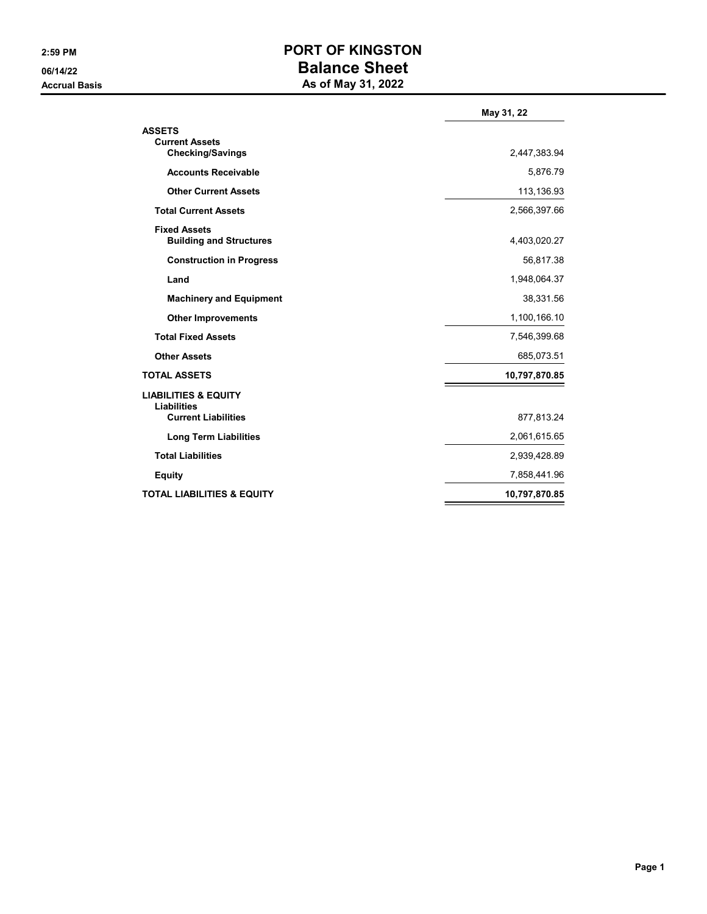### **2:59 PM PORT OF KINGSTON 06/14/22 Balance Sheet Accrual Basis As of May 31, 2022**

|                                                                   | May 31, 22    |
|-------------------------------------------------------------------|---------------|
| <b>ASSETS</b><br><b>Current Assets</b><br><b>Checking/Savings</b> | 2,447,383.94  |
|                                                                   |               |
| <b>Accounts Receivable</b>                                        | 5,876.79      |
| <b>Other Current Assets</b>                                       | 113,136.93    |
| <b>Total Current Assets</b>                                       | 2,566,397.66  |
| <b>Fixed Assets</b><br><b>Building and Structures</b>             | 4,403,020.27  |
| <b>Construction in Progress</b>                                   | 56,817.38     |
| Land                                                              | 1,948,064.37  |
| <b>Machinery and Equipment</b>                                    | 38,331.56     |
| <b>Other Improvements</b>                                         | 1,100,166.10  |
| <b>Total Fixed Assets</b>                                         | 7,546,399.68  |
| <b>Other Assets</b>                                               | 685,073.51    |
| <b>TOTAL ASSETS</b>                                               | 10,797,870.85 |
| <b>LIABILITIES &amp; EQUITY</b>                                   |               |
| <b>Liabilities</b><br><b>Current Liabilities</b>                  | 877,813.24    |
| <b>Long Term Liabilities</b>                                      | 2,061,615.65  |
| <b>Total Liabilities</b>                                          | 2,939,428.89  |
| <b>Equity</b>                                                     | 7,858,441.96  |
| <b>TOTAL LIABILITIES &amp; EQUITY</b>                             | 10,797,870.85 |
|                                                                   |               |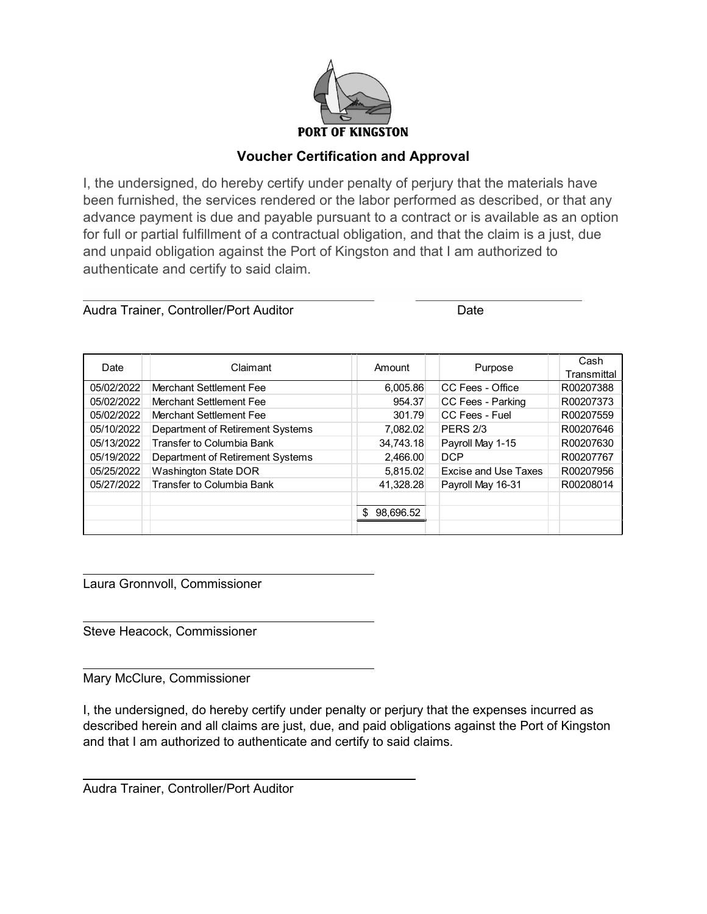

#### **Voucher Certification and Approval**

I, the undersigned, do hereby certify under penalty of perjury that the materials have been furnished, the services rendered or the labor performed as described, or that any advance payment is due and payable pursuant to a contract or is available as an option for full or partial fulfillment of a contractual obligation, and that the claim is a just, due and unpaid obligation against the Port of Kingston and that I am authorized to authenticate and certify to said claim.

| Audra Trainer, Controller/Port Auditor | <b>Date</b> |
|----------------------------------------|-------------|
|                                        |             |

| Date       | Claimant                         | Amount           | Purpose                     | Cash<br>Transmittal |
|------------|----------------------------------|------------------|-----------------------------|---------------------|
| 05/02/2022 | Merchant Settlement Fee          | 6,005.86         | CC Fees - Office            | R00207388           |
| 05/02/2022 | Merchant Settlement Fee          | 954.37           | CC Fees - Parking           | R00207373           |
| 05/02/2022 | Merchant Settlement Fee          | 301.79           | CC Fees - Fuel              | R00207559           |
| 05/10/2022 | Department of Retirement Systems | 7,082.02         | <b>PERS 2/3</b>             | R00207646           |
| 05/13/2022 | Transfer to Columbia Bank        | 34,743.18        | Payroll May 1-15            | R00207630           |
| 05/19/2022 | Department of Retirement Systems | 2,466.00         | <b>DCP</b>                  | R00207767           |
| 05/25/2022 | <b>Washington State DOR</b>      | 5,815.02         | <b>Excise and Use Taxes</b> | R00207956           |
| 05/27/2022 | Transfer to Columbia Bank        | 41,328.28        | Payroll May 16-31           | R00208014           |
|            |                                  |                  |                             |                     |
|            |                                  | 98.696.52<br>\$. |                             |                     |
|            |                                  |                  |                             |                     |

Laura Gronnvoll, Commissioner

Steve Heacock, Commissioner

Mary McClure, Commissioner

I, the undersigned, do hereby certify under penalty or perjury that the expenses incurred as described herein and all claims are just, due, and paid obligations against the Port of Kingston and that I am authorized to authenticate and certify to said claims.

Audra Trainer, Controller/Port Auditor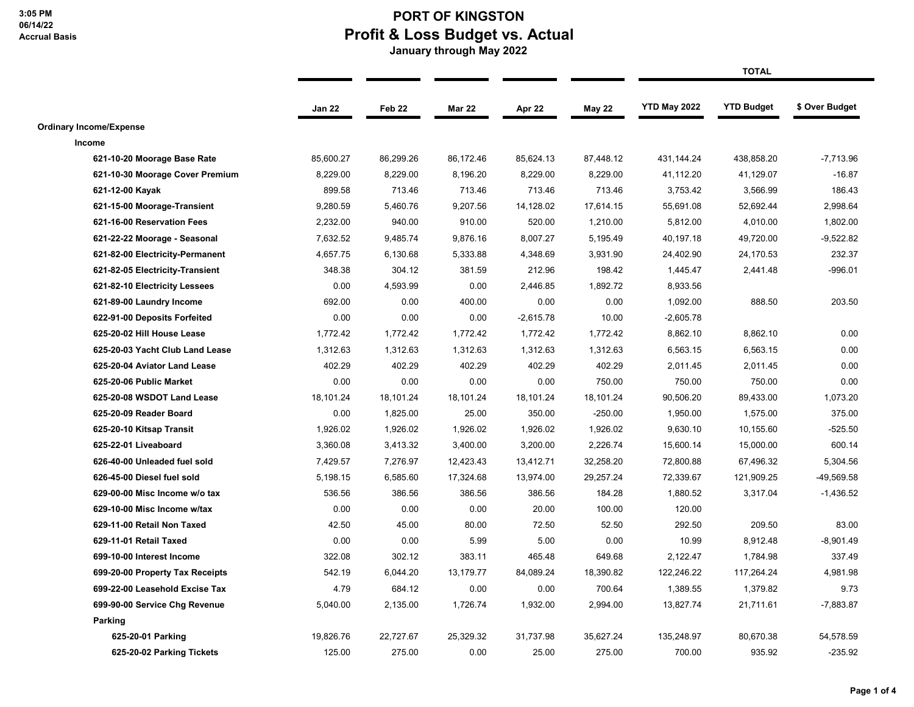## **PORT OF KINGSTON Profit & Loss Budget vs. Actual**

 **January through May 2022**

|                                 |           |                   |               |             |               |              | <b>TOTAL</b>      |                |
|---------------------------------|-----------|-------------------|---------------|-------------|---------------|--------------|-------------------|----------------|
|                                 | Jan 22    | Feb <sub>22</sub> | <b>Mar 22</b> | Apr 22      | <b>May 22</b> | YTD May 2022 | <b>YTD Budget</b> | \$ Over Budget |
| <b>Ordinary Income/Expense</b>  |           |                   |               |             |               |              |                   |                |
| Income                          |           |                   |               |             |               |              |                   |                |
| 621-10-20 Moorage Base Rate     | 85,600.27 | 86,299.26         | 86,172.46     | 85,624.13   | 87,448.12     | 431, 144. 24 | 438,858.20        | $-7,713.96$    |
| 621-10-30 Moorage Cover Premium | 8,229.00  | 8,229.00          | 8,196.20      | 8,229.00    | 8,229.00      | 41,112.20    | 41,129.07         | $-16.87$       |
| 621-12-00 Kayak                 | 899.58    | 713.46            | 713.46        | 713.46      | 713.46        | 3,753.42     | 3,566.99          | 186.43         |
| 621-15-00 Moorage-Transient     | 9,280.59  | 5,460.76          | 9,207.56      | 14,128.02   | 17,614.15     | 55,691.08    | 52,692.44         | 2,998.64       |
| 621-16-00 Reservation Fees      | 2,232.00  | 940.00            | 910.00        | 520.00      | 1,210.00      | 5,812.00     | 4,010.00          | 1,802.00       |
| 621-22-22 Moorage - Seasonal    | 7,632.52  | 9,485.74          | 9,876.16      | 8,007.27    | 5,195.49      | 40,197.18    | 49,720.00         | $-9,522.82$    |
| 621-82-00 Electricity-Permanent | 4,657.75  | 6,130.68          | 5,333.88      | 4,348.69    | 3,931.90      | 24,402.90    | 24,170.53         | 232.37         |
| 621-82-05 Electricity-Transient | 348.38    | 304.12            | 381.59        | 212.96      | 198.42        | 1,445.47     | 2,441.48          | $-996.01$      |
| 621-82-10 Electricity Lessees   | 0.00      | 4,593.99          | 0.00          | 2,446.85    | 1,892.72      | 8,933.56     |                   |                |
| 621-89-00 Laundry Income        | 692.00    | 0.00              | 400.00        | 0.00        | 0.00          | 1,092.00     | 888.50            | 203.50         |
| 622-91-00 Deposits Forfeited    | 0.00      | 0.00              | 0.00          | $-2,615.78$ | 10.00         | $-2,605.78$  |                   |                |
| 625-20-02 Hill House Lease      | 1,772.42  | 1,772.42          | 1,772.42      | 1,772.42    | 1,772.42      | 8,862.10     | 8,862.10          | 0.00           |
| 625-20-03 Yacht Club Land Lease | 1,312.63  | 1,312.63          | 1,312.63      | 1,312.63    | 1,312.63      | 6,563.15     | 6,563.15          | 0.00           |
| 625-20-04 Aviator Land Lease    | 402.29    | 402.29            | 402.29        | 402.29      | 402.29        | 2,011.45     | 2,011.45          | 0.00           |
| 625-20-06 Public Market         | 0.00      | 0.00              | 0.00          | 0.00        | 750.00        | 750.00       | 750.00            | 0.00           |
| 625-20-08 WSDOT Land Lease      | 18,101.24 | 18,101.24         | 18,101.24     | 18,101.24   | 18,101.24     | 90,506.20    | 89,433.00         | 1,073.20       |
| 625-20-09 Reader Board          | 0.00      | 1,825.00          | 25.00         | 350.00      | $-250.00$     | 1,950.00     | 1,575.00          | 375.00         |
| 625-20-10 Kitsap Transit        | 1,926.02  | 1,926.02          | 1,926.02      | 1,926.02    | 1,926.02      | 9,630.10     | 10,155.60         | -525.50        |
| 625-22-01 Liveaboard            | 3,360.08  | 3,413.32          | 3,400.00      | 3,200.00    | 2,226.74      | 15,600.14    | 15,000.00         | 600.14         |
| 626-40-00 Unleaded fuel sold    | 7,429.57  | 7,276.97          | 12,423.43     | 13,412.71   | 32,258.20     | 72,800.88    | 67,496.32         | 5,304.56       |
| 626-45-00 Diesel fuel sold      | 5,198.15  | 6,585.60          | 17,324.68     | 13,974.00   | 29,257.24     | 72,339.67    | 121,909.25        | -49,569.58     |
| 629-00-00 Misc Income w/o tax   | 536.56    | 386.56            | 386.56        | 386.56      | 184.28        | 1,880.52     | 3,317.04          | $-1,436.52$    |
| 629-10-00 Misc Income w/tax     | 0.00      | 0.00              | 0.00          | 20.00       | 100.00        | 120.00       |                   |                |
| 629-11-00 Retail Non Taxed      | 42.50     | 45.00             | 80.00         | 72.50       | 52.50         | 292.50       | 209.50            | 83.00          |
| 629-11-01 Retail Taxed          | 0.00      | 0.00              | 5.99          | 5.00        | 0.00          | 10.99        | 8,912.48          | $-8,901.49$    |
| 699-10-00 Interest Income       | 322.08    | 302.12            | 383.11        | 465.48      | 649.68        | 2,122.47     | 1,784.98          | 337.49         |
| 699-20-00 Property Tax Receipts | 542.19    | 6,044.20          | 13,179.77     | 84.089.24   | 18,390.82     | 122,246.22   | 117,264.24        | 4,981.98       |
| 699-22-00 Leasehold Excise Tax  | 4.79      | 684.12            | 0.00          | 0.00        | 700.64        | 1,389.55     | 1,379.82          | 9.73           |
| 699-90-00 Service Chg Revenue   | 5,040.00  | 2,135.00          | 1,726.74      | 1,932.00    | 2,994.00      | 13,827.74    | 21,711.61         | $-7,883.87$    |
| Parking                         |           |                   |               |             |               |              |                   |                |
| 625-20-01 Parking               | 19,826.76 | 22,727.67         | 25,329.32     | 31,737.98   | 35,627.24     | 135,248.97   | 80,670.38         | 54,578.59      |
| 625-20-02 Parking Tickets       | 125.00    | 275.00            | 0.00          | 25.00       | 275.00        | 700.00       | 935.92            | $-235.92$      |
|                                 |           |                   |               |             |               |              |                   |                |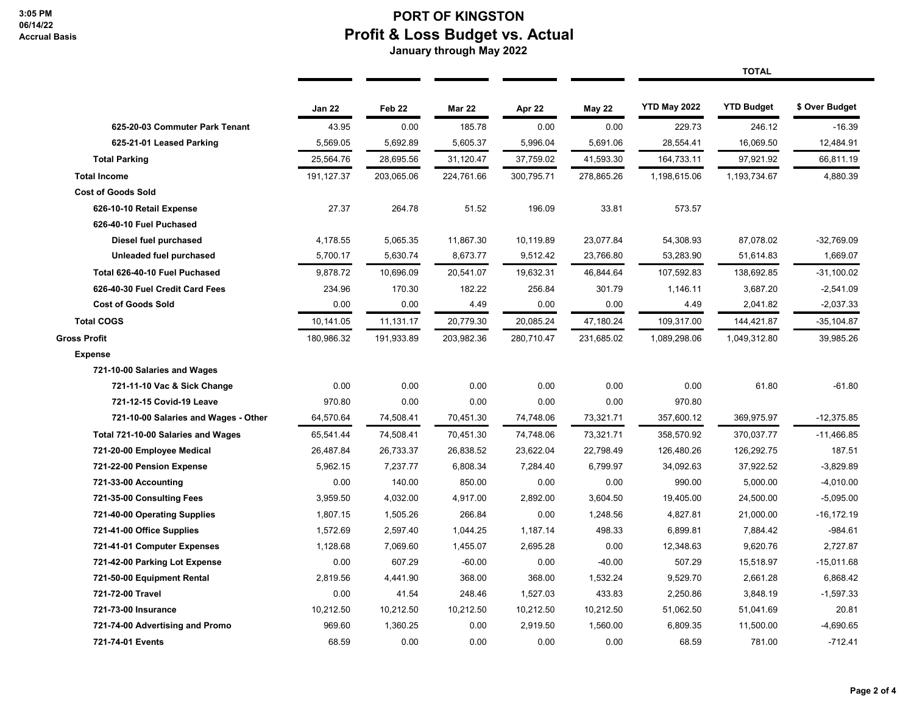#### **PORT OF KINGSTON Profit & Loss Budget vs. Actual January through May 2022**

|                                      |               |                   |               |            |               |                     | <b>TOTAL</b>      |                |
|--------------------------------------|---------------|-------------------|---------------|------------|---------------|---------------------|-------------------|----------------|
|                                      | <b>Jan 22</b> | Feb <sub>22</sub> | <b>Mar 22</b> | Apr 22     | <b>May 22</b> | <b>YTD May 2022</b> | <b>YTD Budget</b> | \$ Over Budget |
| 625-20-03 Commuter Park Tenant       | 43.95         | 0.00              | 185.78        | 0.00       | 0.00          | 229.73              | 246.12            | $-16.39$       |
| 625-21-01 Leased Parking             | 5,569.05      | 5,692.89          | 5,605.37      | 5,996.04   | 5,691.06      | 28,554.41           | 16,069.50         | 12,484.91      |
| <b>Total Parking</b>                 | 25,564.76     | 28,695.56         | 31,120.47     | 37,759.02  | 41,593.30     | 164,733.11          | 97,921.92         | 66,811.19      |
| <b>Total Income</b>                  | 191, 127.37   | 203,065.06        | 224,761.66    | 300,795.71 | 278,865.26    | 1,198,615.06        | 1,193,734.67      | 4,880.39       |
| <b>Cost of Goods Sold</b>            |               |                   |               |            |               |                     |                   |                |
| 626-10-10 Retail Expense             | 27.37         | 264.78            | 51.52         | 196.09     | 33.81         | 573.57              |                   |                |
| 626-40-10 Fuel Puchased              |               |                   |               |            |               |                     |                   |                |
| Diesel fuel purchased                | 4,178.55      | 5,065.35          | 11,867.30     | 10,119.89  | 23,077.84     | 54,308.93           | 87,078.02         | $-32,769.09$   |
| Unleaded fuel purchased              | 5,700.17      | 5,630.74          | 8,673.77      | 9,512.42   | 23,766.80     | 53,283.90           | 51,614.83         | 1,669.07       |
| Total 626-40-10 Fuel Puchased        | 9,878.72      | 10,696.09         | 20,541.07     | 19,632.31  | 46,844.64     | 107,592.83          | 138,692.85        | $-31,100.02$   |
| 626-40-30 Fuel Credit Card Fees      | 234.96        | 170.30            | 182.22        | 256.84     | 301.79        | 1,146.11            | 3,687.20          | $-2,541.09$    |
| <b>Cost of Goods Sold</b>            | 0.00          | 0.00              | 4.49          | 0.00       | 0.00          | 4.49                | 2,041.82          | $-2,037.33$    |
| <b>Total COGS</b>                    | 10,141.05     | 11,131.17         | 20,779.30     | 20,085.24  | 47,180.24     | 109,317.00          | 144,421.87        | $-35,104.87$   |
| Gross Profit                         | 180,986.32    | 191,933.89        | 203,982.36    | 280,710.47 | 231,685.02    | 1,089,298.06        | 1,049,312.80      | 39,985.26      |
| <b>Expense</b>                       |               |                   |               |            |               |                     |                   |                |
| 721-10-00 Salaries and Wages         |               |                   |               |            |               |                     |                   |                |
| 721-11-10 Vac & Sick Change          | 0.00          | 0.00              | 0.00          | 0.00       | 0.00          | 0.00                | 61.80             | $-61.80$       |
| 721-12-15 Covid-19 Leave             | 970.80        | 0.00              | 0.00          | 0.00       | 0.00          | 970.80              |                   |                |
| 721-10-00 Salaries and Wages - Other | 64,570.64     | 74,508.41         | 70,451.30     | 74,748.06  | 73,321.71     | 357,600.12          | 369,975.97        | $-12,375.85$   |
| Total 721-10-00 Salaries and Wages   | 65,541.44     | 74,508.41         | 70,451.30     | 74,748.06  | 73,321.71     | 358,570.92          | 370,037.77        | $-11.466.85$   |
| 721-20-00 Employee Medical           | 26,487.84     | 26,733.37         | 26,838.52     | 23,622.04  | 22,798.49     | 126,480.26          | 126,292.75        | 187.51         |
| 721-22-00 Pension Expense            | 5,962.15      | 7,237.77          | 6,808.34      | 7,284.40   | 6,799.97      | 34,092.63           | 37,922.52         | $-3,829.89$    |
| 721-33-00 Accounting                 | 0.00          | 140.00            | 850.00        | 0.00       | 0.00          | 990.00              | 5,000.00          | $-4,010.00$    |
| 721-35-00 Consulting Fees            | 3,959.50      | 4,032.00          | 4,917.00      | 2,892.00   | 3,604.50      | 19,405.00           | 24,500.00         | $-5,095.00$    |
| 721-40-00 Operating Supplies         | 1,807.15      | 1,505.26          | 266.84        | 0.00       | 1,248.56      | 4,827.81            | 21,000.00         | $-16, 172.19$  |
| 721-41-00 Office Supplies            | 1,572.69      | 2,597.40          | 1,044.25      | 1,187.14   | 498.33        | 6,899.81            | 7,884.42          | $-984.61$      |
| 721-41-01 Computer Expenses          | 1,128.68      | 7,069.60          | 1,455.07      | 2,695.28   | 0.00          | 12,348.63           | 9,620.76          | 2,727.87       |
| 721-42-00 Parking Lot Expense        | 0.00          | 607.29            | $-60.00$      | 0.00       | $-40.00$      | 507.29              | 15,518.97         | $-15,011.68$   |
| 721-50-00 Equipment Rental           | 2,819.56      | 4,441.90          | 368.00        | 368.00     | 1,532.24      | 9,529.70            | 2,661.28          | 6,868.42       |
| 721-72-00 Travel                     | 0.00          | 41.54             | 248.46        | 1,527.03   | 433.83        | 2,250.86            | 3,848.19          | $-1,597.33$    |
| 721-73-00 Insurance                  | 10,212.50     | 10,212.50         | 10,212.50     | 10,212.50  | 10,212.50     | 51,062.50           | 51,041.69         | 20.81          |
| 721-74-00 Advertising and Promo      | 969.60        | 1,360.25          | 0.00          | 2,919.50   | 1,560.00      | 6,809.35            | 11,500.00         | $-4,690.65$    |
| 721-74-01 Events                     | 68.59         | 0.00              | 0.00          | 0.00       | 0.00          | 68.59               | 781.00            | $-712.41$      |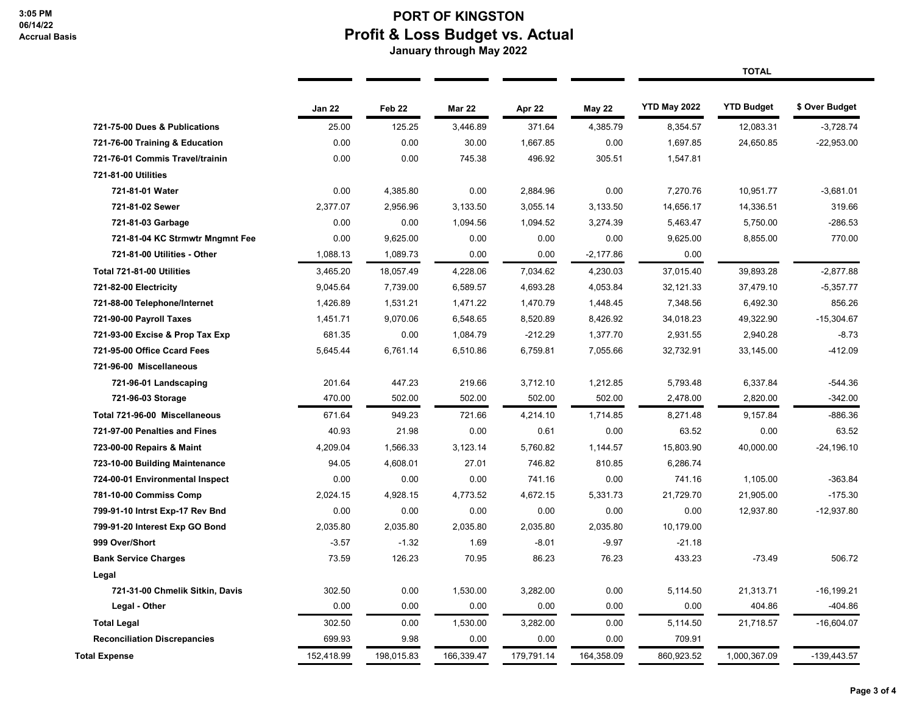## **PORT OF KINGSTON Profit & Loss Budget vs. Actual**

 **January through May 2022**

|                                     |            |                   |               |            |               |              | <b>TOTAL</b>      |                |  |
|-------------------------------------|------------|-------------------|---------------|------------|---------------|--------------|-------------------|----------------|--|
|                                     | Jan 22     | Feb <sub>22</sub> | <b>Mar 22</b> | Apr 22     | <b>May 22</b> | YTD May 2022 | <b>YTD Budget</b> | \$ Over Budget |  |
| 721-75-00 Dues & Publications       | 25.00      | 125.25            | 3,446.89      | 371.64     | 4,385.79      | 8,354.57     | 12,083.31         | $-3,728.74$    |  |
| 721-76-00 Training & Education      | 0.00       | 0.00              | 30.00         | 1,667.85   | 0.00          | 1,697.85     | 24,650.85         | $-22,953.00$   |  |
| 721-76-01 Commis Travel/trainin     | 0.00       | 0.00              | 745.38        | 496.92     | 305.51        | 1,547.81     |                   |                |  |
| 721-81-00 Utilities                 |            |                   |               |            |               |              |                   |                |  |
| 721-81-01 Water                     | 0.00       | 4,385.80          | 0.00          | 2,884.96   | 0.00          | 7,270.76     | 10,951.77         | $-3,681.01$    |  |
| 721-81-02 Sewer                     | 2,377.07   | 2,956.96          | 3,133.50      | 3,055.14   | 3,133.50      | 14,656.17    | 14,336.51         | 319.66         |  |
| 721-81-03 Garbage                   | 0.00       | 0.00              | 1,094.56      | 1,094.52   | 3,274.39      | 5,463.47     | 5,750.00          | $-286.53$      |  |
| 721-81-04 KC Strmwtr Mngmnt Fee     | 0.00       | 9,625.00          | 0.00          | 0.00       | 0.00          | 9,625.00     | 8,855.00          | 770.00         |  |
| 721-81-00 Utilities - Other         | 1,088.13   | 1,089.73          | 0.00          | 0.00       | $-2,177.86$   | 0.00         |                   |                |  |
| Total 721-81-00 Utilities           | 3,465.20   | 18,057.49         | 4,228.06      | 7,034.62   | 4,230.03      | 37,015.40    | 39,893.28         | $-2,877.88$    |  |
| 721-82-00 Electricity               | 9,045.64   | 7,739.00          | 6,589.57      | 4,693.28   | 4,053.84      | 32,121.33    | 37,479.10         | $-5,357.77$    |  |
| 721-88-00 Telephone/Internet        | 1,426.89   | 1,531.21          | 1,471.22      | 1,470.79   | 1,448.45      | 7,348.56     | 6,492.30          | 856.26         |  |
| 721-90-00 Payroll Taxes             | 1,451.71   | 9,070.06          | 6,548.65      | 8,520.89   | 8,426.92      | 34,018.23    | 49,322.90         | $-15,304.67$   |  |
| 721-93-00 Excise & Prop Tax Exp     | 681.35     | 0.00              | 1,084.79      | $-212.29$  | 1,377.70      | 2,931.55     | 2,940.28          | $-8.73$        |  |
| 721-95-00 Office Ccard Fees         | 5,645.44   | 6,761.14          | 6,510.86      | 6,759.81   | 7,055.66      | 32,732.91    | 33,145.00         | $-412.09$      |  |
| 721-96-00 Miscellaneous             |            |                   |               |            |               |              |                   |                |  |
| 721-96-01 Landscaping               | 201.64     | 447.23            | 219.66        | 3,712.10   | 1,212.85      | 5,793.48     | 6,337.84          | $-544.36$      |  |
| 721-96-03 Storage                   | 470.00     | 502.00            | 502.00        | 502.00     | 502.00        | 2,478.00     | 2,820.00          | $-342.00$      |  |
| Total 721-96-00 Miscellaneous       | 671.64     | 949.23            | 721.66        | 4,214.10   | 1,714.85      | 8,271.48     | 9,157.84          | $-886.36$      |  |
| 721-97-00 Penalties and Fines       | 40.93      | 21.98             | 0.00          | 0.61       | 0.00          | 63.52        | 0.00              | 63.52          |  |
| 723-00-00 Repairs & Maint           | 4,209.04   | 1,566.33          | 3,123.14      | 5,760.82   | 1,144.57      | 15,803.90    | 40,000.00         | $-24, 196.10$  |  |
| 723-10-00 Building Maintenance      | 94.05      | 4,608.01          | 27.01         | 746.82     | 810.85        | 6,286.74     |                   |                |  |
| 724-00-01 Environmental Inspect     | 0.00       | 0.00              | 0.00          | 741.16     | 0.00          | 741.16       | 1,105.00          | $-363.84$      |  |
| 781-10-00 Commiss Comp              | 2,024.15   | 4,928.15          | 4,773.52      | 4,672.15   | 5,331.73      | 21,729.70    | 21,905.00         | $-175.30$      |  |
| 799-91-10 Intrst Exp-17 Rev Bnd     | 0.00       | 0.00              | 0.00          | 0.00       | 0.00          | 0.00         | 12,937.80         | $-12,937.80$   |  |
| 799-91-20 Interest Exp GO Bond      | 2,035.80   | 2,035.80          | 2,035.80      | 2,035.80   | 2,035.80      | 10,179.00    |                   |                |  |
| 999 Over/Short                      | $-3.57$    | $-1.32$           | 1.69          | $-8.01$    | $-9.97$       | $-21.18$     |                   |                |  |
| <b>Bank Service Charges</b>         | 73.59      | 126.23            | 70.95         | 86.23      | 76.23         | 433.23       | $-73.49$          | 506.72         |  |
| Legal                               |            |                   |               |            |               |              |                   |                |  |
| 721-31-00 Chmelik Sitkin, Davis     | 302.50     | 0.00              | 1,530.00      | 3,282.00   | 0.00          | 5,114.50     | 21,313.71         | $-16, 199.21$  |  |
| Legal - Other                       | 0.00       | 0.00              | 0.00          | 0.00       | 0.00          | 0.00         | 404.86            | $-404.86$      |  |
| <b>Total Legal</b>                  | 302.50     | 0.00              | 1,530.00      | 3,282.00   | 0.00          | 5,114.50     | 21,718.57         | $-16,604.07$   |  |
| <b>Reconciliation Discrepancies</b> | 699.93     | 9.98              | 0.00          | 0.00       | 0.00          | 709.91       |                   |                |  |
| Total Expense                       | 152,418.99 | 198,015.83        | 166.339.47    | 179,791.14 | 164,358.09    | 860.923.52   | 1,000,367.09      | $-139,443.57$  |  |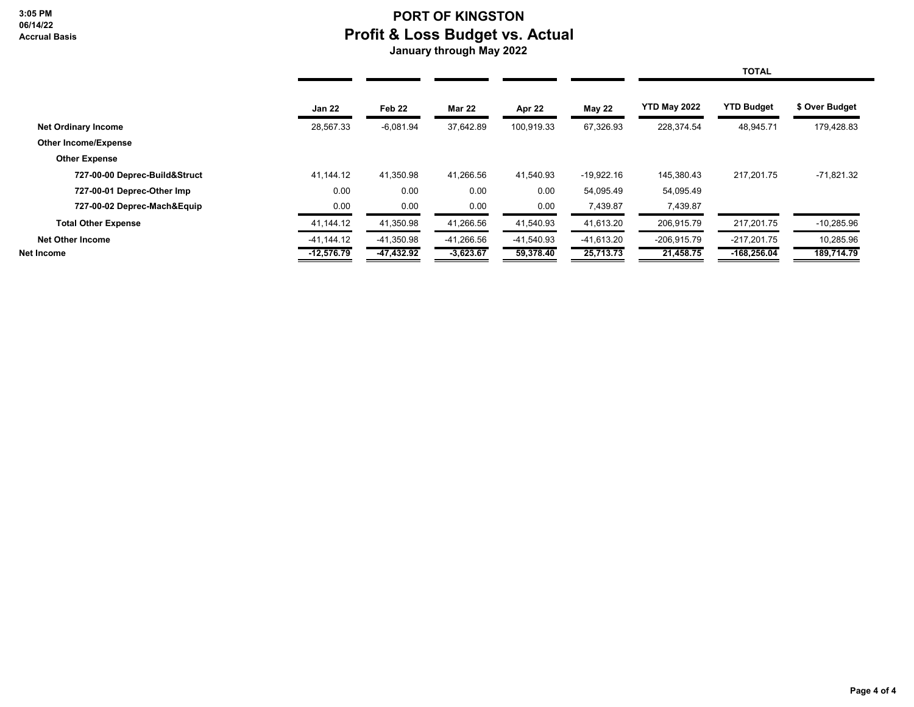**3:05 PM 06/14/22 Accrual Basis**

## **PORT OF KINGSTON Profit & Loss Budget vs. Actual**

 **January through May 2022**

|                               |               |                   |               |            |               |                     | <b>TOTAL</b>      |                |  |
|-------------------------------|---------------|-------------------|---------------|------------|---------------|---------------------|-------------------|----------------|--|
|                               | <b>Jan 22</b> | Feb <sub>22</sub> | <b>Mar 22</b> | Apr 22     | <b>May 22</b> | <b>YTD May 2022</b> | <b>YTD Budget</b> | \$ Over Budget |  |
| <b>Net Ordinary Income</b>    | 28,567.33     | $-6,081.94$       | 37,642.89     | 100,919.33 | 67,326.93     | 228,374.54          | 48,945.71         | 179,428.83     |  |
| <b>Other Income/Expense</b>   |               |                   |               |            |               |                     |                   |                |  |
| <b>Other Expense</b>          |               |                   |               |            |               |                     |                   |                |  |
| 727-00-00 Deprec-Build&Struct | 41,144.12     | 41,350.98         | 41,266.56     | 41,540.93  | $-19,922.16$  | 145,380.43          | 217.201.75        | $-71,821.32$   |  |
| 727-00-01 Deprec-Other Imp    | 0.00          | 0.00              | 0.00          | 0.00       | 54,095.49     | 54,095.49           |                   |                |  |
| 727-00-02 Deprec-Mach&Equip   | 0.00          | 0.00              | 0.00          | 0.00       | 7,439.87      | 7,439.87            |                   |                |  |
| <b>Total Other Expense</b>    | 41,144.12     | 41,350.98         | 41,266.56     | 41,540.93  | 41,613.20     | 206,915.79          | 217,201.75        | $-10,285.96$   |  |
| <b>Net Other Income</b>       | $-41,144.12$  | $-41,350.98$      | $-41,266.56$  | -41,540.93 | $-41,613.20$  | $-206,915.79$       | $-217,201.75$     | 10,285.96      |  |
| Net Income                    | $-12,576.79$  | -47,432.92        | $-3,623.67$   | 59,378.40  | 25,713.73     | 21,458.75           | $-168,256.04$     | 189,714.79     |  |
|                               |               |                   |               |            |               |                     |                   |                |  |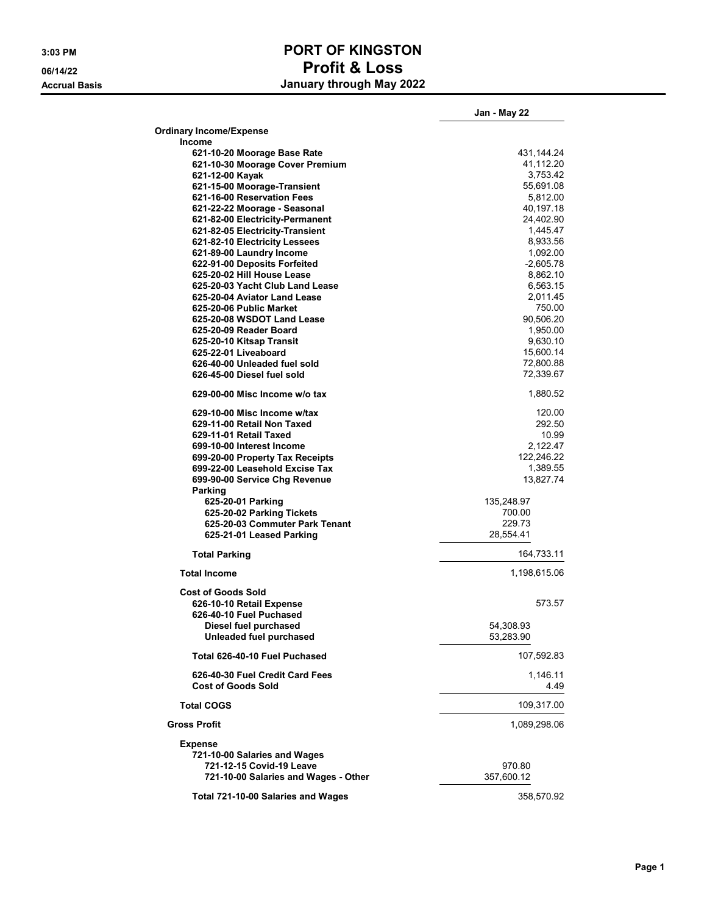### **3:03 PM PORT OF KINGSTON 06/14/22 Profit & Loss Accrual Basis January through May 2022**

|                                                              | Jan - May 22     |
|--------------------------------------------------------------|------------------|
| <b>Ordinary Income/Expense</b>                               |                  |
| <b>Income</b>                                                |                  |
| 621-10-20 Moorage Base Rate                                  | 431,144.24       |
| 621-10-30 Moorage Cover Premium                              | 41,112.20        |
| 621-12-00 Kayak                                              | 3,753.42         |
| 621-15-00 Moorage-Transient                                  | 55,691.08        |
| 621-16-00 Reservation Fees                                   | 5,812.00         |
| 621-22-22 Moorage - Seasonal                                 | 40,197.18        |
| 621-82-00 Electricity-Permanent                              | 24,402.90        |
| 621-82-05 Electricity-Transient                              | 1,445.47         |
| 621-82-10 Electricity Lessees                                | 8,933.56         |
| 621-89-00 Laundry Income                                     | 1,092.00         |
| 622-91-00 Deposits Forfeited                                 | $-2,605.78$      |
| 625-20-02 Hill House Lease                                   | 8,862.10         |
| 625-20-03 Yacht Club Land Lease                              | 6,563.15         |
| 625-20-04 Aviator Land Lease                                 | 2,011.45         |
| 625-20-06 Public Market                                      | 750.00           |
| 625-20-08 WSDOT Land Lease                                   | 90,506.20        |
| 625-20-09 Reader Board                                       | 1,950.00         |
| 625-20-10 Kitsap Transit                                     | 9,630.10         |
| 625-22-01 Liveaboard                                         | 15,600.14        |
| 626-40-00 Unleaded fuel sold                                 | 72,800.88        |
| 626-45-00 Diesel fuel sold                                   | 72,339.67        |
| 629-00-00 Misc Income w/o tax                                | 1,880.52         |
| 629-10-00 Misc Income w/tax                                  | 120.00           |
| 629-11-00 Retail Non Taxed                                   | 292.50           |
| 629-11-01 Retail Taxed                                       | 10.99            |
| 699-10-00 Interest Income                                    | 2,122.47         |
| 699-20-00 Property Tax Receipts                              | 122,246.22       |
| 699-22-00 Leasehold Excise Tax                               | 1,389.55         |
| 699-90-00 Service Chg Revenue                                | 13,827.74        |
| Parking                                                      |                  |
| 625-20-01 Parking                                            | 135,248.97       |
| 625-20-02 Parking Tickets                                    | 700.00           |
| 625-20-03 Commuter Park Tenant                               | 229.73           |
| 625-21-01 Leased Parking                                     | 28,554.41        |
| <b>Total Parking</b>                                         | 164,733.11       |
| <b>Total Income</b>                                          | 1,198,615.06     |
| <b>Cost of Goods Sold</b>                                    |                  |
| 626-10-10 Retail Expense                                     | 573.57           |
| 626-40-10 Fuel Puchased                                      |                  |
| Diesel fuel purchased                                        | 54,308.93        |
| Unleaded fuel purchased                                      | 53,283.90        |
| Total 626-40-10 Fuel Puchased                                | 107,592.83       |
| 626-40-30 Fuel Credit Card Fees<br><b>Cost of Goods Sold</b> | 1,146.11<br>4.49 |
| <b>Total COGS</b>                                            | 109,317.00       |
| <b>Gross Profit</b>                                          | 1,089,298.06     |
| <b>Expense</b>                                               |                  |
| 721-10-00 Salaries and Wages                                 |                  |
| 721-12-15 Covid-19 Leave                                     | 970.80           |
| 721-10-00 Salaries and Wages - Other                         | 357,600.12       |
|                                                              |                  |
| Total 721-10-00 Salaries and Wages                           | 358,570.92       |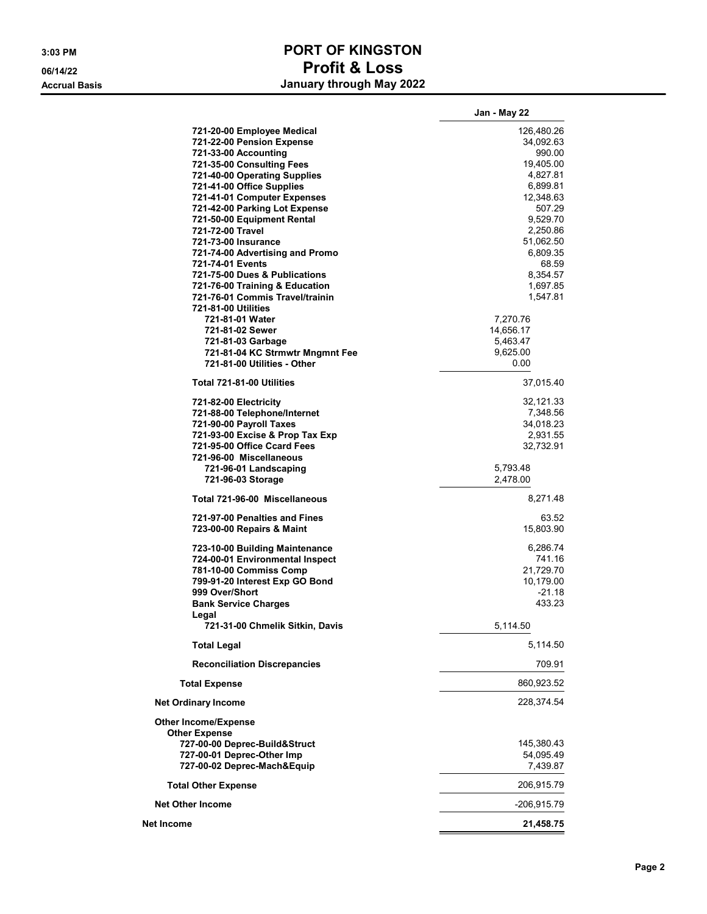### **3:03 PM PORT OF KINGSTON 06/14/22 Profit & Loss Accrual Basis January through May 2022**

|                                                            | Jan - May 22          |
|------------------------------------------------------------|-----------------------|
| 721-20-00 Employee Medical                                 | 126,480.26            |
| 721-22-00 Pension Expense                                  | 34,092.63             |
| 721-33-00 Accounting                                       | 990.00                |
| 721-35-00 Consulting Fees                                  | 19,405.00             |
| 721-40-00 Operating Supplies                               | 4,827.81              |
| 721-41-00 Office Supplies                                  | 6,899.81              |
| 721-41-01 Computer Expenses                                | 12,348.63             |
| 721-42-00 Parking Lot Expense                              | 507.29                |
| 721-50-00 Equipment Rental                                 | 9,529.70              |
| 721-72-00 Travel                                           | 2,250.86              |
| 721-73-00 Insurance                                        | 51,062.50             |
| 721-74-00 Advertising and Promo                            | 6,809.35              |
| 721-74-01 Events                                           | 68.59                 |
| 721-75-00 Dues & Publications                              | 8,354.57              |
| 721-76-00 Training & Education                             | 1,697.85              |
| 721-76-01 Commis Travel/trainin                            | 1,547.81              |
| 721-81-00 Utilities                                        |                       |
| 721-81-01 Water<br>721-81-02 Sewer                         | 7,270.76              |
|                                                            | 14,656.17<br>5,463.47 |
| 721-81-03 Garbage<br>721-81-04 KC Strmwtr Mngmnt Fee       | 9.625.00              |
| 721-81-00 Utilities - Other                                | 0.00                  |
|                                                            |                       |
| Total 721-81-00 Utilities                                  | 37,015.40             |
| 721-82-00 Electricity                                      | 32,121.33             |
| 721-88-00 Telephone/Internet                               | 7.348.56              |
| 721-90-00 Payroll Taxes                                    | 34,018.23             |
| 721-93-00 Excise & Prop Tax Exp                            | 2,931.55              |
| 721-95-00 Office Ccard Fees                                | 32,732.91             |
| 721-96-00 Miscellaneous                                    |                       |
| 721-96-01 Landscaping                                      | 5,793.48              |
| 721-96-03 Storage                                          | 2,478.00              |
| Total 721-96-00 Miscellaneous                              | 8,271.48              |
| 721-97-00 Penalties and Fines<br>723-00-00 Repairs & Maint | 63.52<br>15,803.90    |
|                                                            |                       |
| 723-10-00 Building Maintenance                             | 6,286.74              |
| 724-00-01 Environmental Inspect                            | 741.16                |
| 781-10-00 Commiss Comp                                     | 21,729.70             |
| 799-91-20 Interest Exp GO Bond                             | 10,179.00             |
| 999 Over/Short                                             | $-21.18$              |
| <b>Bank Service Charges</b>                                | 433.23                |
| Legal<br>721-31-00 Chmelik Sitkin, Davis                   | 5,114.50              |
| <b>Total Legal</b>                                         | 5,114.50              |
| <b>Reconciliation Discrepancies</b>                        | 709.91                |
| <b>Total Expense</b>                                       | 860,923.52            |
|                                                            |                       |
| <b>Net Ordinary Income</b>                                 | 228,374.54            |
| <b>Other Income/Expense</b><br><b>Other Expense</b>        |                       |
| 727-00-00 Deprec-Build&Struct                              | 145,380.43            |
| 727-00-01 Deprec-Other Imp                                 | 54,095.49             |
| 727-00-02 Deprec-Mach&Equip                                | 7,439.87              |
| <b>Total Other Expense</b>                                 | 206,915.79            |
| <b>Net Other Income</b>                                    | -206,915.79           |
| Net Income                                                 | 21,458.75             |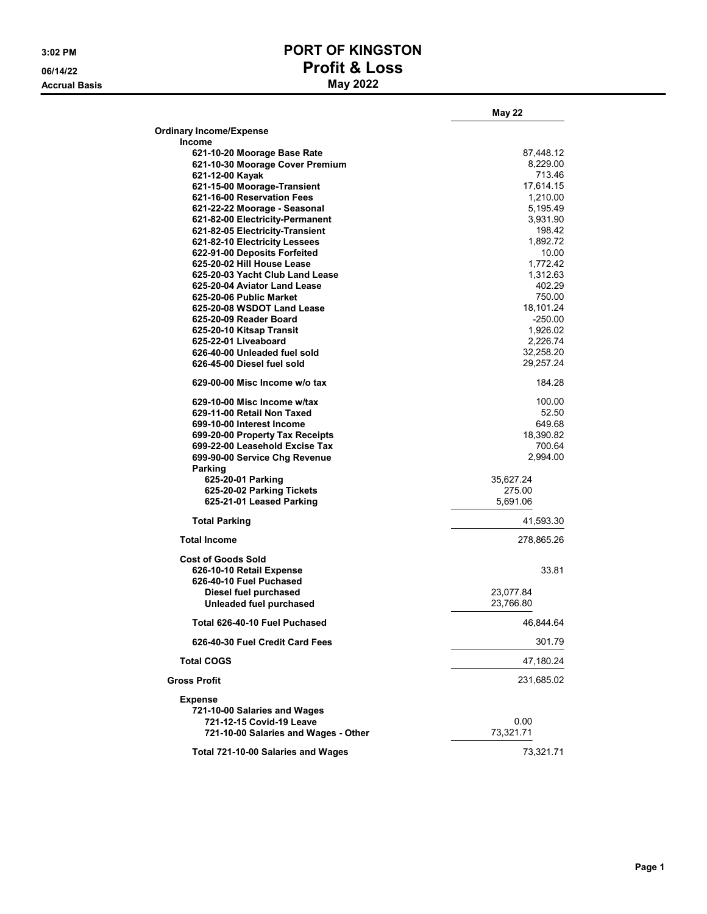**Accrual Basis** 

## **3:02 PM PORT OF KINGSTON 06/14/22 Profit & Loss**

|                                                         | <b>May 22</b>    |
|---------------------------------------------------------|------------------|
| <b>Ordinary Income/Expense</b>                          |                  |
| <b>Income</b>                                           |                  |
| 621-10-20 Moorage Base Rate                             | 87,448.12        |
| 621-10-30 Moorage Cover Premium                         | 8,229.00         |
| 621-12-00 Kayak                                         | 713.46           |
| 621-15-00 Moorage-Transient                             | 17,614.15        |
| 621-16-00 Reservation Fees                              | 1,210.00         |
| 621-22-22 Moorage - Seasonal                            | 5,195.49         |
| 621-82-00 Electricity-Permanent                         | 3,931.90         |
| 621-82-05 Electricity-Transient                         | 198.42           |
| 621-82-10 Electricity Lessees                           | 1,892.72         |
| 622-91-00 Deposits Forfeited                            | 10.00            |
| 625-20-02 Hill House Lease                              | 1,772.42         |
| 625-20-03 Yacht Club Land Lease                         | 1,312.63         |
| 625-20-04 Aviator Land Lease<br>625-20-06 Public Market | 402.29<br>750.00 |
| 625-20-08 WSDOT Land Lease                              | 18,101.24        |
| 625-20-09 Reader Board                                  | $-250.00$        |
| 625-20-10 Kitsap Transit                                | 1,926.02         |
| 625-22-01 Liveaboard                                    | 2,226.74         |
| 626-40-00 Unleaded fuel sold                            | 32,258.20        |
| 626-45-00 Diesel fuel sold                              | 29,257.24        |
| 629-00-00 Misc Income w/o tax                           | 184.28           |
| 629-10-00 Misc Income w/tax                             | 100.00           |
| 629-11-00 Retail Non Taxed                              | 52.50            |
| 699-10-00 Interest Income                               | 649.68           |
| 699-20-00 Property Tax Receipts                         | 18,390.82        |
| 699-22-00 Leasehold Excise Tax                          | 700.64           |
| 699-90-00 Service Chg Revenue                           | 2,994.00         |
| Parking                                                 |                  |
| 625-20-01 Parking                                       | 35,627.24        |
| 625-20-02 Parking Tickets                               | 275.00           |
| 625-21-01 Leased Parking                                | 5,691.06         |
| <b>Total Parking</b>                                    | 41,593.30        |
| <b>Total Income</b>                                     | 278,865.26       |
| <b>Cost of Goods Sold</b><br>626-10-10 Retail Expense   | 33.81            |
| 626-40-10 Fuel Puchased                                 |                  |
| Diesel fuel purchased                                   | 23,077.84        |
| Unleaded fuel purchased                                 | 23,766.80        |
| Total 626-40-10 Fuel Puchased                           | 46.844.64        |
| 626-40-30 Fuel Credit Card Fees                         | 301.79           |
| <b>Total COGS</b>                                       | 47,180.24        |
| <b>Gross Profit</b>                                     | 231,685.02       |
| Expense                                                 |                  |
| 721-10-00 Salaries and Wages                            |                  |
| 721-12-15 Covid-19 Leave                                | 0.00             |
| 721-10-00 Salaries and Wages - Other                    | 73,321.71        |
|                                                         |                  |
| Total 721-10-00 Salaries and Wages                      | 73,321.71        |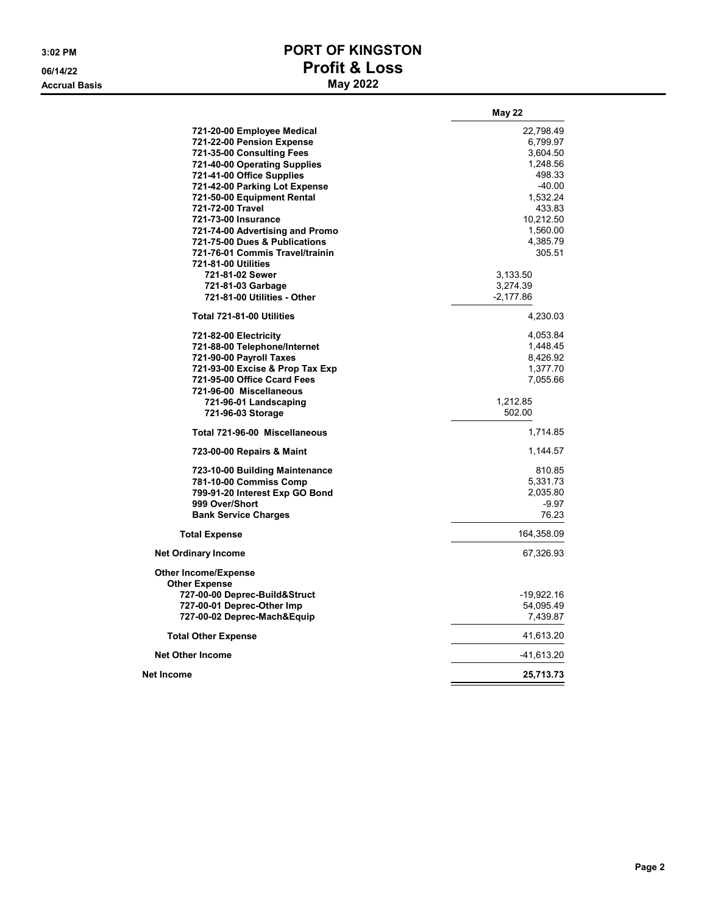**Accrual Basis** 

## **3:02 PM PORT OF KINGSTON 06/14/22 Profit & Loss**

|                                 | <b>May 22</b> |
|---------------------------------|---------------|
| 721-20-00 Employee Medical      | 22,798.49     |
| 721-22-00 Pension Expense       | 6,799.97      |
| 721-35-00 Consulting Fees       | 3,604.50      |
| 721-40-00 Operating Supplies    | 1,248.56      |
| 721-41-00 Office Supplies       | 498.33        |
| 721-42-00 Parking Lot Expense   | $-40.00$      |
| 721-50-00 Equipment Rental      | 1,532.24      |
| 721-72-00 Travel                | 433.83        |
| 721-73-00 Insurance             | 10,212.50     |
| 721-74-00 Advertising and Promo | 1,560.00      |
| 721-75-00 Dues & Publications   | 4,385.79      |
| 721-76-01 Commis Travel/trainin | 305.51        |
| 721-81-00 Utilities             |               |
| 721-81-02 Sewer                 | 3,133.50      |
| 721-81-03 Garbage               | 3,274.39      |
| 721-81-00 Utilities - Other     | $-2,177.86$   |
| Total 721-81-00 Utilities       | 4,230.03      |
| 721-82-00 Electricity           | 4,053.84      |
| 721-88-00 Telephone/Internet    | 1,448.45      |
| 721-90-00 Payroll Taxes         | 8,426.92      |
| 721-93-00 Excise & Prop Tax Exp | 1,377.70      |
| 721-95-00 Office Ccard Fees     | 7,055.66      |
| 721-96-00 Miscellaneous         |               |
| 721-96-01 Landscaping           | 1,212.85      |
| 721-96-03 Storage               | 502.00        |
| Total 721-96-00 Miscellaneous   | 1,714.85      |
| 723-00-00 Repairs & Maint       | 1,144.57      |
| 723-10-00 Building Maintenance  | 810.85        |
| 781-10-00 Commiss Comp          | 5,331.73      |
| 799-91-20 Interest Exp GO Bond  | 2,035.80      |
| 999 Over/Short                  | $-9.97$       |
| <b>Bank Service Charges</b>     | 76.23         |
| <b>Total Expense</b>            | 164,358.09    |
| <b>Net Ordinary Income</b>      | 67,326.93     |
| <b>Other Income/Expense</b>     |               |
| <b>Other Expense</b>            |               |
| 727-00-00 Deprec-Build&Struct   | -19,922.16    |
| 727-00-01 Deprec-Other Imp      | 54,095.49     |
| 727-00-02 Deprec-Mach&Equip     | 7,439.87      |
| <b>Total Other Expense</b>      | 41,613.20     |
| <b>Net Other Income</b>         | -41,613.20    |
| Net Income                      | 25,713.73     |
|                                 |               |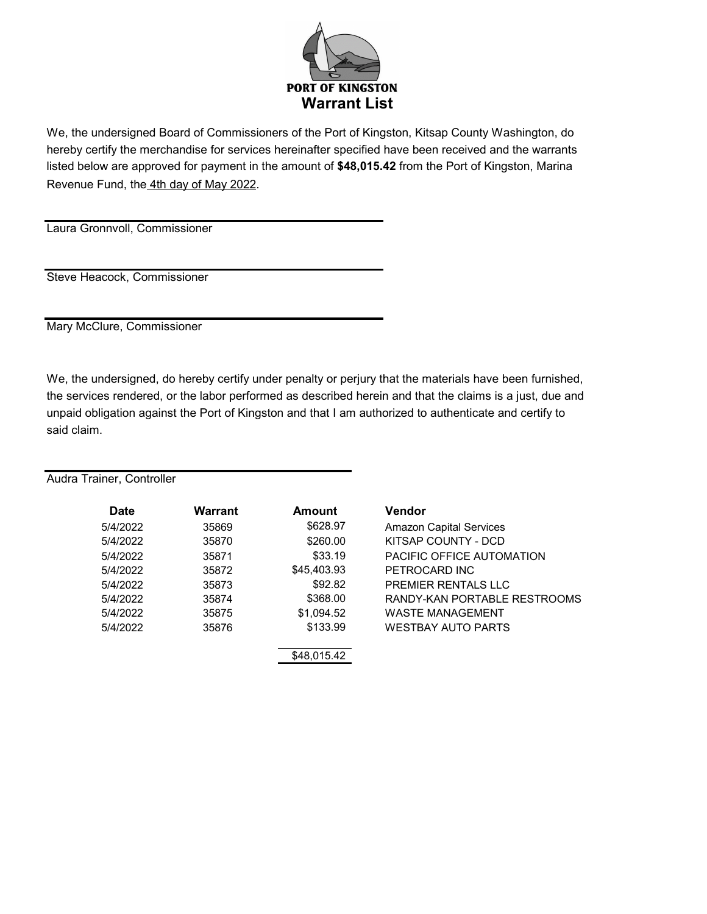

We, the undersigned Board of Commissioners of the Port of Kingston, Kitsap County Washington, do hereby certify the merchandise for services hereinafter specified have been received and the warrants listed below are approved for payment in the amount of **\$48,015.42** from the Port of Kingston, Marina Revenue Fund, the 4th day of May 2022.

Laura Gronnvoll, Commissioner

Steve Heacock, Commissioner

Mary McClure, Commissioner

We, the undersigned, do hereby certify under penalty or perjury that the materials have been furnished, the services rendered, or the labor performed as described herein and that the claims is a just, due and unpaid obligation against the Port of Kingston and that I am authorized to authenticate and certify to said claim.

| <b>Date</b> | <b>Warrant</b> | <b>Amount</b> | <b>Vendor</b>                  |
|-------------|----------------|---------------|--------------------------------|
| 5/4/2022    | 35869          | \$628.97      | <b>Amazon Capital Services</b> |
| 5/4/2022    | 35870          | \$260.00      | KITSAP COUNTY - DCD            |
| 5/4/2022    | 35871          | \$33.19       | PACIFIC OFFICE AUTOMATION      |
| 5/4/2022    | 35872          | \$45,403.93   | PETROCARD INC                  |
| 5/4/2022    | 35873          | \$92.82       | PREMIER RENTALS LLC            |
| 5/4/2022    | 35874          | \$368.00      | RANDY-KAN PORTABLE RESTROOMS   |
| 5/4/2022    | 35875          | \$1,094.52    | <b>WASTE MANAGEMENT</b>        |
| 5/4/2022    | 35876          | \$133.99      | <b>WESTBAY AUTO PARTS</b>      |
|             |                | \$48,015.42   |                                |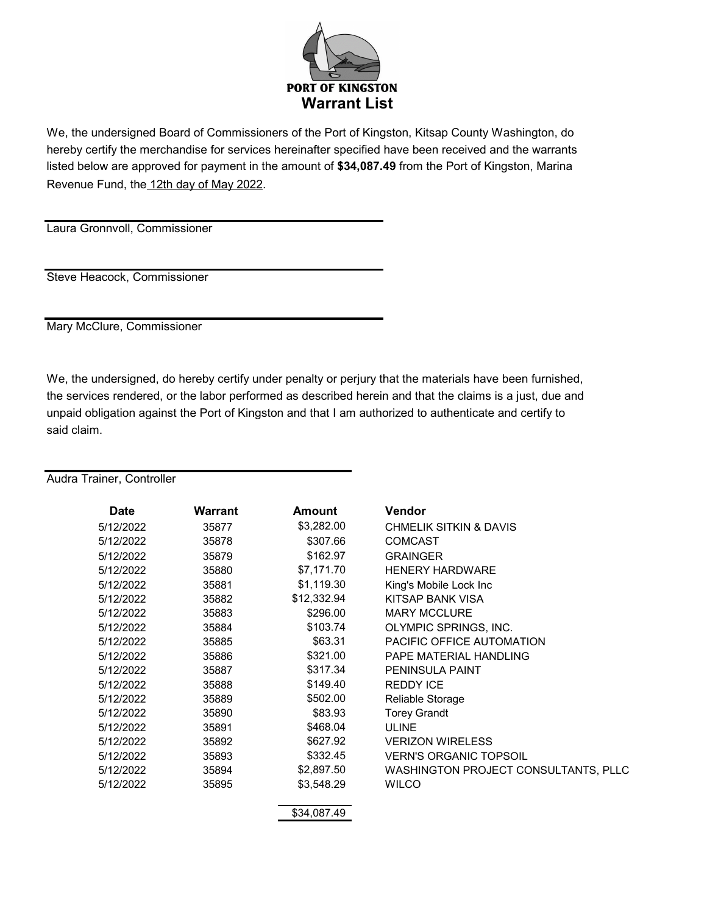

We, the undersigned Board of Commissioners of the Port of Kingston, Kitsap County Washington, do hereby certify the merchandise for services hereinafter specified have been received and the warrants listed below are approved for payment in the amount of **\$34,087.49** from the Port of Kingston, Marina Revenue Fund, the 12th day of May 2022.

Laura Gronnvoll, Commissioner

Steve Heacock, Commissioner

Mary McClure, Commissioner

We, the undersigned, do hereby certify under penalty or perjury that the materials have been furnished, the services rendered, or the labor performed as described herein and that the claims is a just, due and unpaid obligation against the Port of Kingston and that I am authorized to authenticate and certify to said claim.

| <b>Date</b> | Warrant | <b>Amount</b> | Vendor                                      |
|-------------|---------|---------------|---------------------------------------------|
| 5/12/2022   | 35877   | \$3,282.00    | <b>CHMELIK SITKIN &amp; DAVIS</b>           |
| 5/12/2022   | 35878   | \$307.66      | <b>COMCAST</b>                              |
| 5/12/2022   | 35879   | \$162.97      | <b>GRAINGER</b>                             |
| 5/12/2022   | 35880   | \$7,171.70    | <b>HENERY HARDWARE</b>                      |
| 5/12/2022   | 35881   | \$1,119.30    | King's Mobile Lock Inc                      |
| 5/12/2022   | 35882   | \$12,332.94   | KITSAP BANK VISA                            |
| 5/12/2022   | 35883   | \$296.00      | <b>MARY MCCLURE</b>                         |
| 5/12/2022   | 35884   | \$103.74      | OLYMPIC SPRINGS, INC.                       |
| 5/12/2022   | 35885   | \$63.31       | PACIFIC OFFICE AUTOMATION                   |
| 5/12/2022   | 35886   | \$321.00      | PAPE MATERIAL HANDLING                      |
| 5/12/2022   | 35887   | \$317.34      | <b>PENINSULA PAINT</b>                      |
| 5/12/2022   | 35888   | \$149.40      | <b>REDDY ICE</b>                            |
| 5/12/2022   | 35889   | \$502.00      | Reliable Storage                            |
| 5/12/2022   | 35890   | \$83.93       | <b>Torey Grandt</b>                         |
| 5/12/2022   | 35891   | \$468.04      | <b>ULINE</b>                                |
| 5/12/2022   | 35892   | \$627.92      | <b>VERIZON WIRELESS</b>                     |
| 5/12/2022   | 35893   | \$332.45      | <b>VERN'S ORGANIC TOPSOIL</b>               |
| 5/12/2022   | 35894   | \$2,897.50    | <b>WASHINGTON PROJECT CONSULTANTS, PLLC</b> |
| 5/12/2022   | 35895   | \$3,548.29    | <b>WILCO</b>                                |
|             |         | \$34,087.49   |                                             |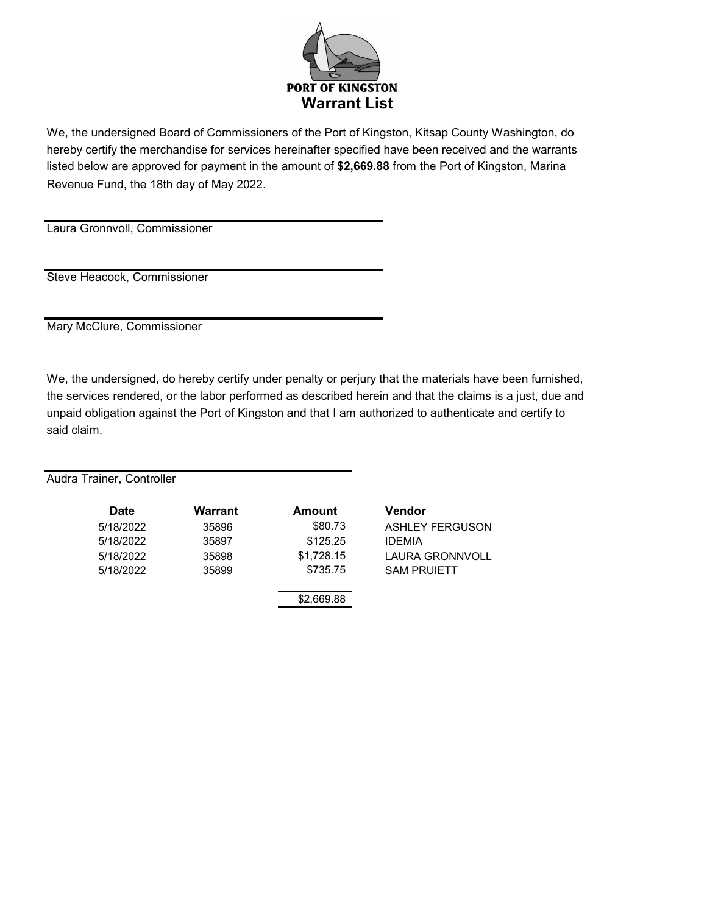

We, the undersigned Board of Commissioners of the Port of Kingston, Kitsap County Washington, do hereby certify the merchandise for services hereinafter specified have been received and the warrants listed below are approved for payment in the amount of **\$2,669.88** from the Port of Kingston, Marina Revenue Fund, the 18th day of May 2022.

Laura Gronnvoll, Commissioner

Steve Heacock, Commissioner

Mary McClure, Commissioner

We, the undersigned, do hereby certify under penalty or perjury that the materials have been furnished, the services rendered, or the labor performed as described herein and that the claims is a just, due and unpaid obligation against the Port of Kingston and that I am authorized to authenticate and certify to said claim.

| Date      | <b>Warrant</b> | <b>Amount</b> | <b>Vendor</b>          |
|-----------|----------------|---------------|------------------------|
| 5/18/2022 | 35896          | \$80.73       | <b>ASHLEY FERGUSON</b> |
| 5/18/2022 | 35897          | \$125.25      | <b>IDEMIA</b>          |
| 5/18/2022 | 35898          | \$1,728.15    | <b>LAURA GRONNVOLL</b> |
| 5/18/2022 | 35899          | \$735.75      | <b>SAM PRUIETT</b>     |
|           |                | \$2,669.88    |                        |
|           |                |               |                        |